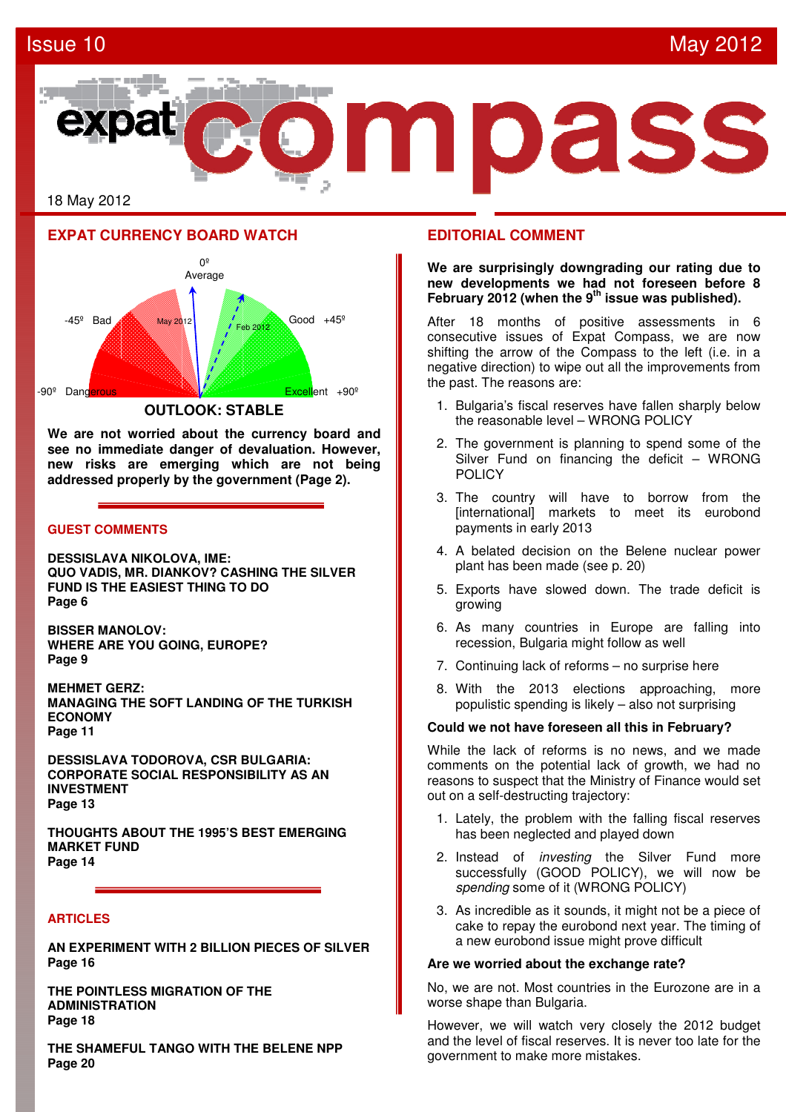## Issue 10 May 2012





**We are not worried about the currency board and see no immediate danger of devaluation. However, new risks are emerging which are not being addressed properly by the government (Page 2).**

## **GUEST COMMENTS**

**DESSISLAVA NIKOLOVA, IME: QUO VADIS, MR. DIANKOV? CASHING THE SILVER FUND IS THE EASIEST THING TO DO Page 6** 

**BISSER MANOLOV: WHERE ARE YOU GOING, EUROPE? Page 9** 

**MEHMET GERZ: MANAGING THE SOFT LANDING OF THE TURKISH ECONOMY Page 11** 

**DESSISLAVA TODOROVA, CSR BULGARIA: CORPORATE SOCIAL RESPONSIBILITY AS AN INVESTMENT Page 13** 

**THOUGHTS ABOUT THE 1995'S BEST EMERGING MARKET FUND Page 14** 

## **ARTICLES**

**AN EXPERIMENT WITH 2 BILLION PIECES OF SILVER Page 16** 

**THE POINTLESS MIGRATION OF THE ADMINISTRATION Page 18** 

**THE SHAMEFUL TANGO WITH THE BELENE NPP Page 20** 

## **EDITORIAL COMMENT**

**We are surprisingly downgrading our rating due to new developments we had not foreseen before 8 February 2012 (when the 9th issue was published).** 

After 18 months of positive assessments in 6 consecutive issues of Expat Compass, we are now shifting the arrow of the Compass to the left (i.e. in a negative direction) to wipe out all the improvements from the past. The reasons are:

- 1. Bulgaria's fiscal reserves have fallen sharply below the reasonable level – WRONG POLICY
- 2. The government is planning to spend some of the Silver Fund on financing the deficit – WRONG POLICY
- 3. The country will have to borrow from the [international] markets to meet its eurobond payments in early 2013
- 4. A belated decision on the Belene nuclear power plant has been made (see p. 20)
- 5. Exports have slowed down. The trade deficit is growing
- 6. As many countries in Europe are falling into recession, Bulgaria might follow as well
- 7. Continuing lack of reforms no surprise here
- 8. With the 2013 elections approaching, more populistic spending is likely – also not surprising

#### **Could we not have foreseen all this in February?**

While the lack of reforms is no news, and we made comments on the potential lack of growth, we had no reasons to suspect that the Ministry of Finance would set out on a self-destructing trajectory:

- 1. Lately, the problem with the falling fiscal reserves has been neglected and played down
- 2. Instead of *investing* the Silver Fund more successfully (GOOD POLICY), we will now be spending some of it (WRONG POLICY)
- 3. As incredible as it sounds, it might not be a piece of cake to repay the eurobond next year. The timing of a new eurobond issue might prove difficult

### **Are we worried about the exchange rate?**

No, we are not. Most countries in the Eurozone are in a worse shape than Bulgaria.

However, we will watch very closely the 2012 budget and the level of fiscal reserves. It is never too late for the government to make more mistakes.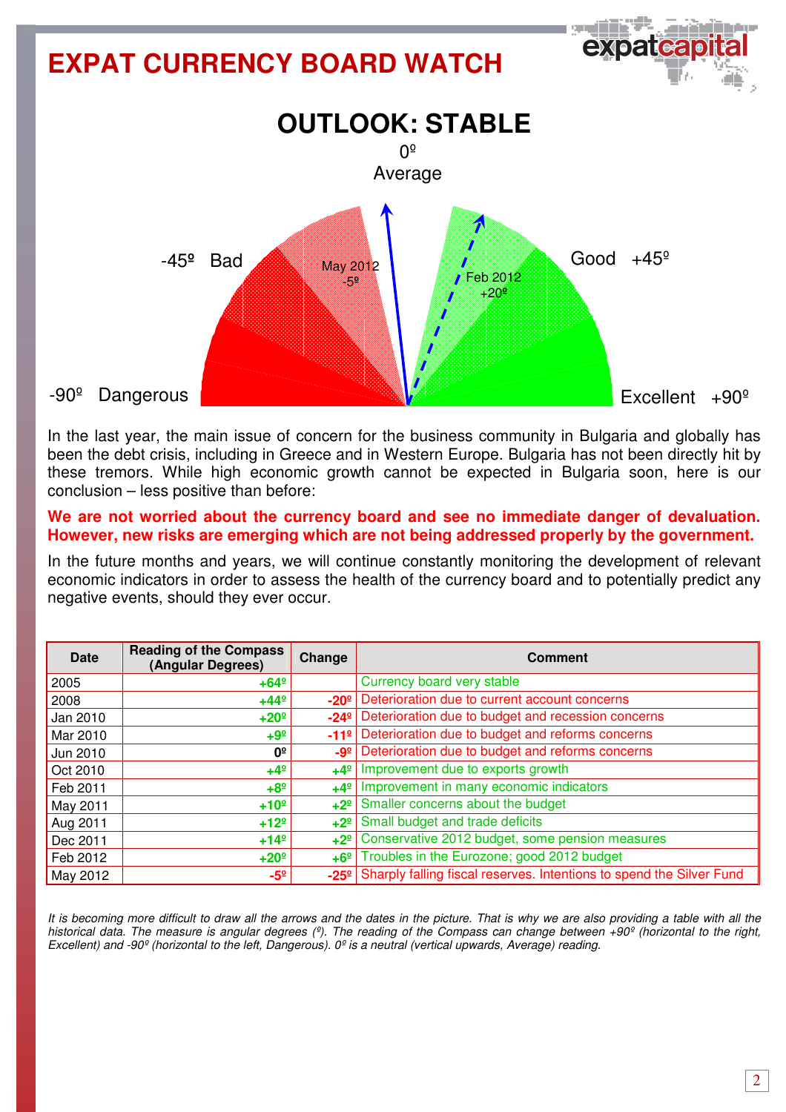

In the last year, the main issue of concern for the business community in Bulgaria and globally has been the debt crisis, including in Greece and in Western Europe. Bulgaria has not been directly hit by these tremors. While high economic growth cannot be expected in Bulgaria soon, here is our conclusion – less positive than before:

## **We are not worried about the currency board and see no immediate danger of devaluation. However, new risks are emerging which are not being addressed properly by the government.**

In the future months and years, we will continue constantly monitoring the development of relevant economic indicators in order to assess the health of the currency board and to potentially predict any negative events, should they ever occur.

| Date     | <b>Reading of the Compass</b><br>(Angular Degrees) | Change        | <b>Comment</b>                                                       |
|----------|----------------------------------------------------|---------------|----------------------------------------------------------------------|
| 2005     | $+64^{\circ}$                                      |               | Currency board very stable                                           |
| 2008     | $+44^{\circ}$                                      | $-20o$        | Deterioration due to current account concerns                        |
| Jan 2010 | $+20°$                                             | $-24^{\circ}$ | Deterioration due to budget and recession concerns                   |
| Mar 2010 | $+9^{\circ}$                                       | $-11°$        | Deterioration due to budget and reforms concerns                     |
| Jun 2010 | 0º                                                 | $-9°$         | Deterioration due to budget and reforms concerns                     |
| Oct 2010 | $+4^{\circ}$                                       | $+4^{\circ}$  | Improvement due to exports growth                                    |
| Feb 2011 | $+8^{\circ}$                                       | $+4^{\circ}$  | Improvement in many economic indicators                              |
| May 2011 | $+10°$                                             | $+2^{\circ}$  | Smaller concerns about the budget                                    |
| Aug 2011 | $+12^{\circ}$                                      | $+2^{\circ}$  | Small budget and trade deficits                                      |
| Dec 2011 | $+14^{\circ}$                                      | $+2^{\circ}$  | Conservative 2012 budget, some pension measures                      |
| Feb 2012 | $+20°$                                             | $+6°$         | Troubles in the Eurozone; good 2012 budget                           |
| May 2012 | -5º                                                | $-25^{\circ}$ | Sharply falling fiscal reserves. Intentions to spend the Silver Fund |

It is becoming more difficult to draw all the arrows and the dates in the picture. That is why we are also providing a table with all the historical data. The measure is angular degrees (º). The reading of the Compass can change between +90º (horizontal to the right, Excellent) and -90<sup>°</sup> (horizontal to the left, Dangerous).  $0^{\circ}$  is a neutral (vertical upwards, Average) reading.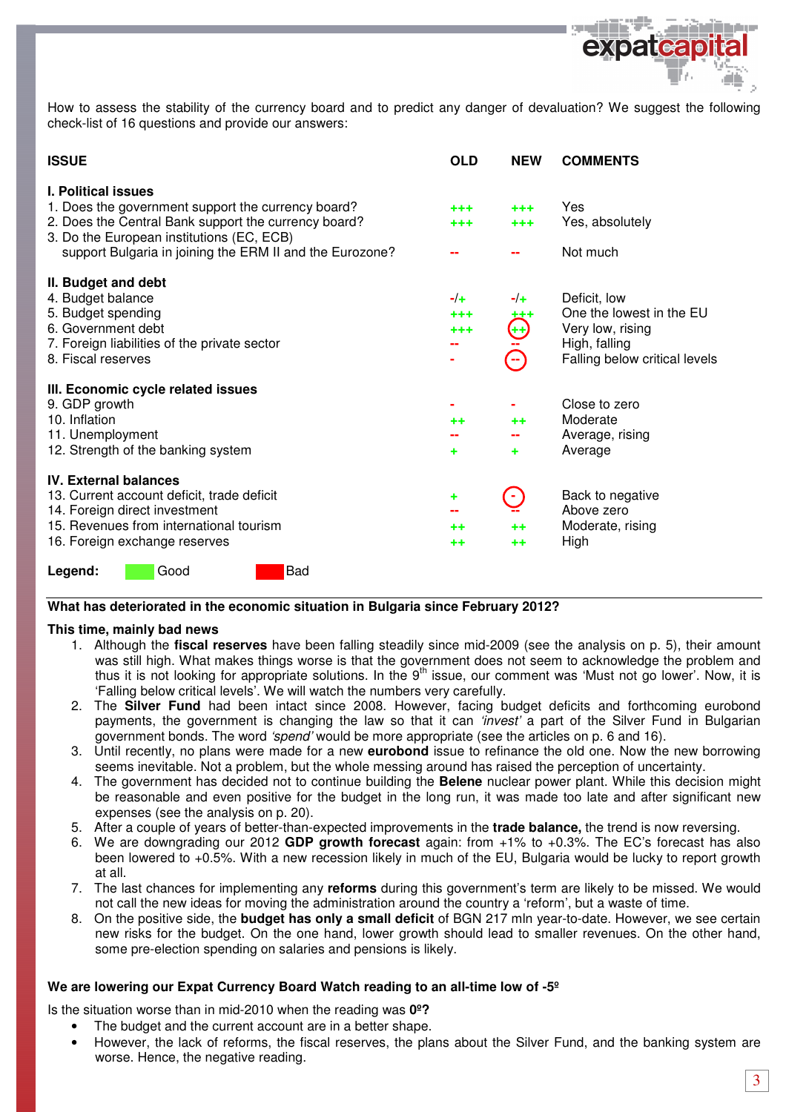

How to assess the stability of the currency board and to predict any danger of devaluation? We suggest the following check-list of 16 questions and provide our answers:

| <b>ISSUE</b>                                                                                                                                                                                                                                      | <b>OLD</b>              | <b>NEW</b>                                                                     | <b>COMMENTS</b>                                                                                                |
|---------------------------------------------------------------------------------------------------------------------------------------------------------------------------------------------------------------------------------------------------|-------------------------|--------------------------------------------------------------------------------|----------------------------------------------------------------------------------------------------------------|
| <b>I. Political issues</b><br>1. Does the government support the currency board?<br>2. Does the Central Bank support the currency board?<br>3. Do the European institutions (EC, ECB)<br>support Bulgaria in joining the ERM II and the Eurozone? | $+ + +$<br>$^{+++}$     | $***$<br>$***$                                                                 | Yes<br>Yes, absolutely<br>Not much                                                                             |
| II. Budget and debt<br>4. Budget balance<br>5. Budget spending<br>6. Government debt<br>7. Foreign liabilities of the private sector<br>8. Fiscal reserves                                                                                        | $-1+$<br>$***$<br>$***$ | $-/-$<br>ŧ<br>$\mathbb{P}$                                                     | Deficit, low<br>One the lowest in the EU<br>Very low, rising<br>High, falling<br>Falling below critical levels |
| III. Economic cycle related issues<br>9. GDP growth<br>10. Inflation<br>11. Unemployment<br>12. Strength of the banking system                                                                                                                    | ++<br>٠                 | $^{++}$<br>٠                                                                   | Close to zero<br>Moderate<br>Average, rising<br>Average                                                        |
| <b>IV. External balances</b><br>13. Current account deficit, trade deficit<br>14. Foreign direct investment<br>15. Revenues from international tourism<br>16. Foreign exchange reserves                                                           | ٠<br>$+ +$<br>$+ +$     | $\left[ \begin{array}{c} \blacksquare \end{array} \right]$<br>$+ +$<br>$^{++}$ | Back to negative<br>Above zero<br>Moderate, rising<br>High                                                     |
| <b>Bad</b><br>Good<br>Legend:                                                                                                                                                                                                                     |                         |                                                                                |                                                                                                                |

#### **What has deteriorated in the economic situation in Bulgaria since February 2012?**

#### **This time, mainly bad news**

- 1. Although the **fiscal reserves** have been falling steadily since mid-2009 (see the analysis on p. 5), their amount was still high. What makes things worse is that the government does not seem to acknowledge the problem and thus it is not looking for appropriate solutions. In the  $9<sup>th</sup>$  issue, our comment was 'Must not go lower'. Now, it is 'Falling below critical levels'. We will watch the numbers very carefully.
- 2. The **Silver Fund** had been intact since 2008. However, facing budget deficits and forthcoming eurobond payments, the government is changing the law so that it can 'invest' a part of the Silver Fund in Bulgarian government bonds. The word 'spend' would be more appropriate (see the articles on p. 6 and 16).
- 3. Until recently, no plans were made for a new **eurobond** issue to refinance the old one. Now the new borrowing seems inevitable. Not a problem, but the whole messing around has raised the perception of uncertainty.
- 4. The government has decided not to continue building the **Belene** nuclear power plant. While this decision might be reasonable and even positive for the budget in the long run, it was made too late and after significant new expenses (see the analysis on p. 20).
- 5. After a couple of years of better-than-expected improvements in the **trade balance,** the trend is now reversing.
- 6. We are downgrading our 2012 **GDP growth forecast** again: from +1% to +0.3%. The EC's forecast has also been lowered to +0.5%. With a new recession likely in much of the EU, Bulgaria would be lucky to report growth at all.
- 7. The last chances for implementing any **reforms** during this government's term are likely to be missed. We would not call the new ideas for moving the administration around the country a 'reform', but a waste of time.
- 8. On the positive side, the **budget has only a small deficit** of BGN 217 mln year-to-date. However, we see certain new risks for the budget. On the one hand, lower growth should lead to smaller revenues. On the other hand, some pre-election spending on salaries and pensions is likely.

#### **We are lowering our Expat Currency Board Watch reading to an all-time low of -5º**

Is the situation worse than in mid-2010 when the reading was **0º?** 

- The budget and the current account are in a better shape.
- However, the lack of reforms, the fiscal reserves, the plans about the Silver Fund, and the banking system are worse. Hence, the negative reading.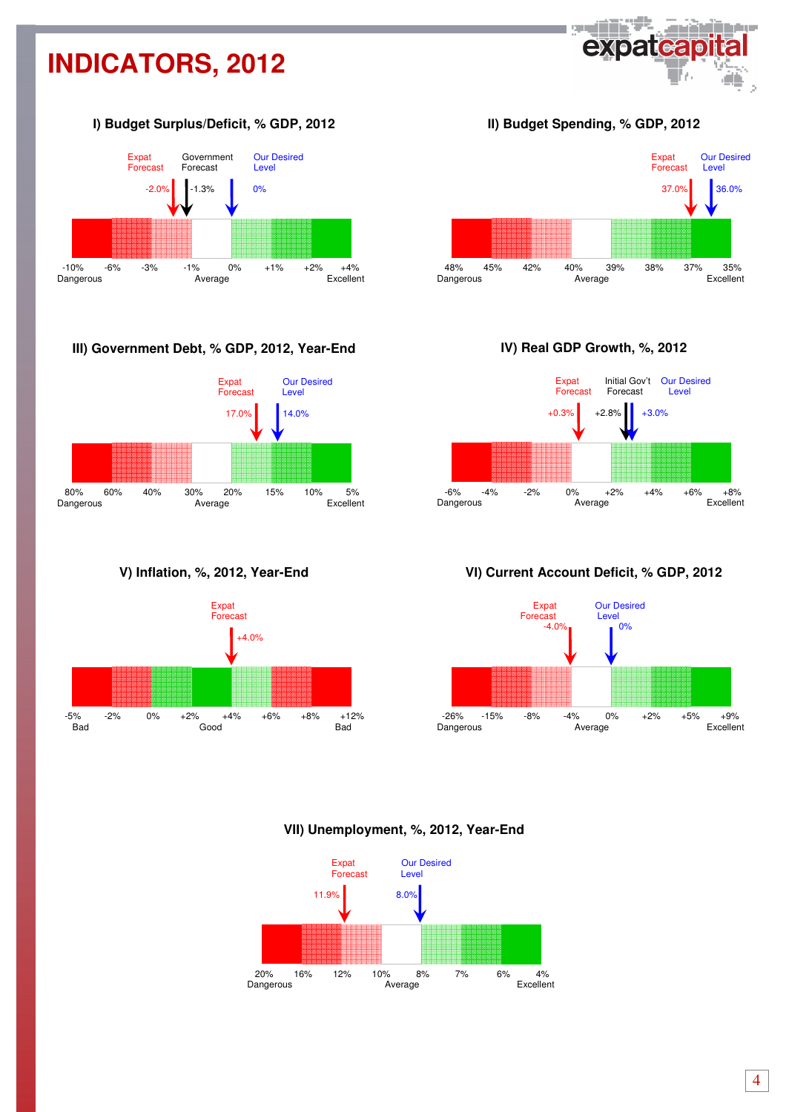## **INDICATORS, 2012**



## І**) Budget Surplus/Deficit, % GDP, 2012**



## **III) Government Debt, % GDP, 2012, Year-End**



**V) Inflation, %, 2012, Year-End** 



ІІ**) Budget Spending, % GDP, 2012** 



І**V) Real GDP Growth, %, 2012** 



## **V**І**) Current Account Deficit, % GDP, 2012**



### **VII) Unemployment, %, 2012, Year-End**

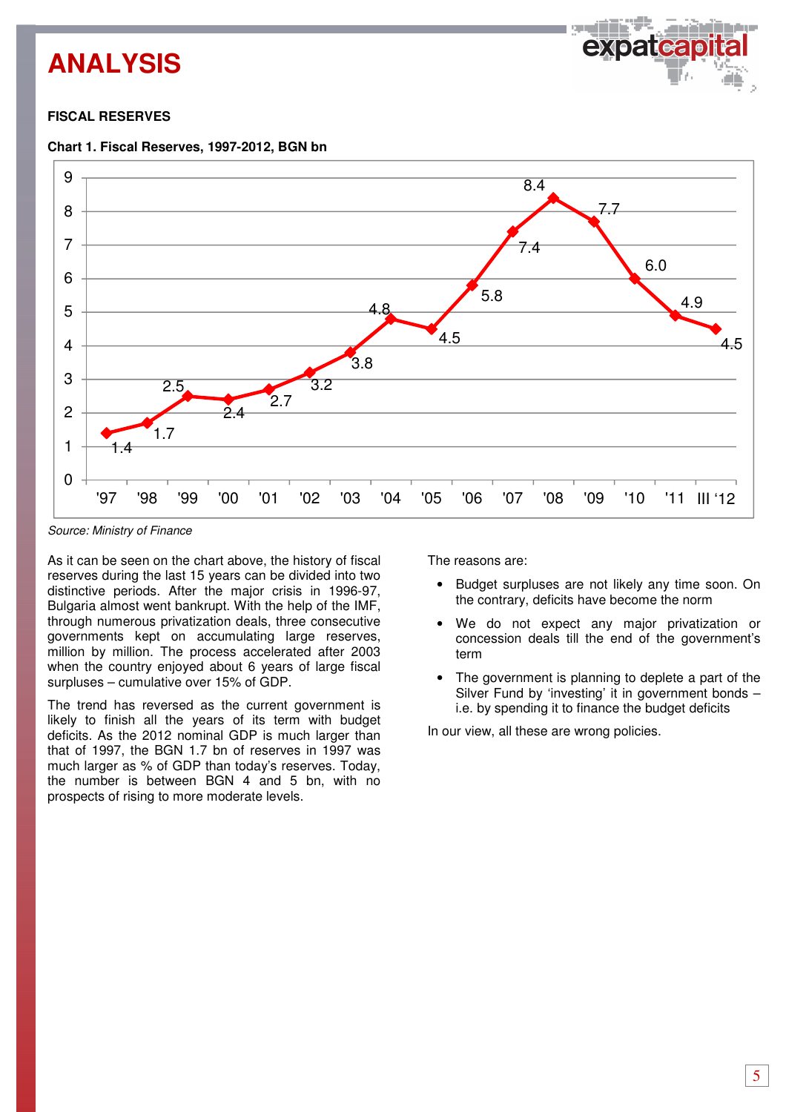## **ANALYSIS**



## **FISCAL RESERVES**





Source: Ministry of Finance

As it can be seen on the chart above, the history of fiscal reserves during the last 15 years can be divided into two distinctive periods. After the major crisis in 1996-97, Bulgaria almost went bankrupt. With the help of the IMF, through numerous privatization deals, three consecutive governments kept on accumulating large reserves, million by million. The process accelerated after 2003 when the country enjoyed about 6 years of large fiscal surpluses – cumulative over 15% of GDP.

The trend has reversed as the current government is likely to finish all the years of its term with budget deficits. As the 2012 nominal GDP is much larger than that of 1997, the BGN 1.7 bn of reserves in 1997 was much larger as % of GDP than today's reserves. Today, the number is between BGN 4 and 5 bn, with no prospects of rising to more moderate levels.

The reasons are:

- Budget surpluses are not likely any time soon. On the contrary, deficits have become the norm
- We do not expect any major privatization or concession deals till the end of the government's term
- The government is planning to deplete a part of the Silver Fund by 'investing' it in government bonds – i.e. by spending it to finance the budget deficits

In our view, all these are wrong policies.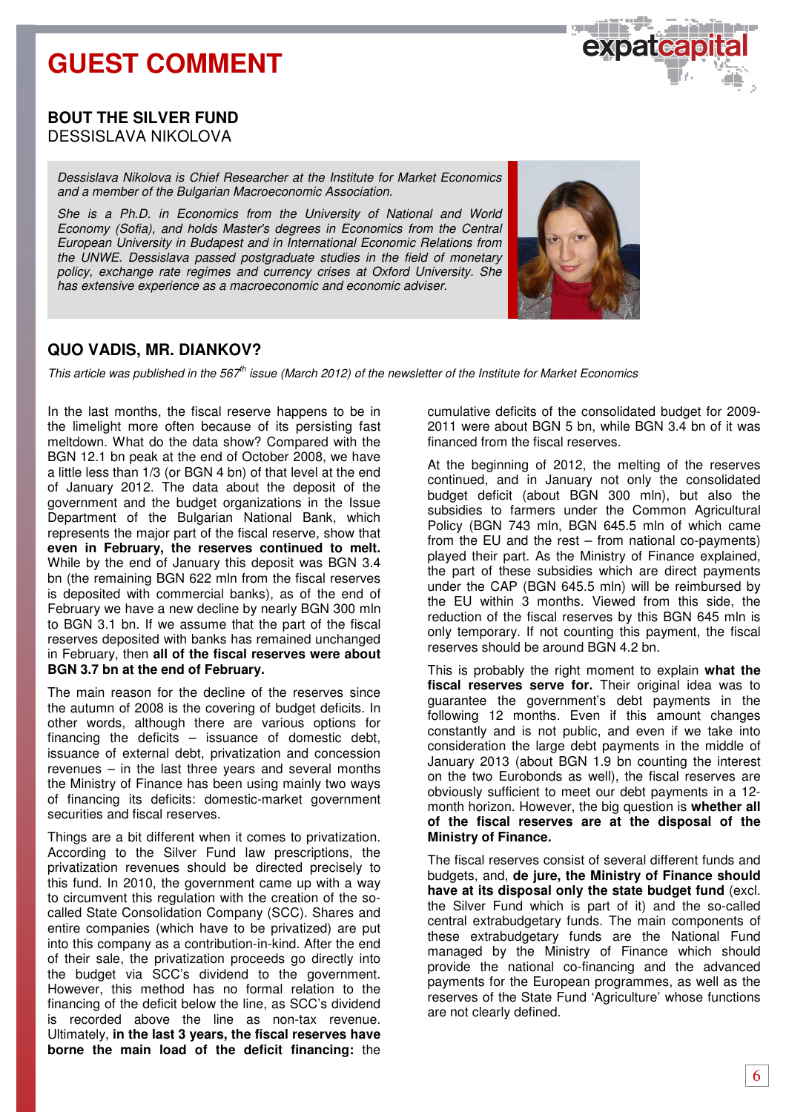

## **BOUT THE SILVER FUND**  DESSISLAVA NIKOLOVA

Dessislava Nikolova is Chief Researcher at the Institute for Market Economics and a member of the Bulgarian Macroeconomic Association.

She is a Ph.D. in Economics from the University of National and World Economy (Sofia), and holds Master's degrees in Economics from the Central European University in Budapest and in International Economic Relations from the UNWE. Dessislava passed postgraduate studies in the field of monetary policy, exchange rate regimes and currency crises at Oxford University. She has extensive experience as a macroeconomic and economic adviser.



## **QUO VADIS, MR. DIANKOV?**

This article was published in the  $567<sup>th</sup>$  issue (March 2012) of the newsletter of the Institute for Market Economics

In the last months, the fiscal reserve happens to be in the limelight more often because of its persisting fast meltdown. What do the data show? Compared with the BGN 12.1 bn peak at the end of October 2008, we have a little less than 1/3 (or BGN 4 bn) of that level at the end of January 2012. The data about the deposit of the government and the budget organizations in the Issue Department of the Bulgarian National Bank, which represents the major part of the fiscal reserve, show that **even in February, the reserves continued to melt.** While by the end of January this deposit was BGN 3.4 bn (the remaining BGN 622 mln from the fiscal reserves is deposited with commercial banks), as of the end of February we have a new decline by nearly BGN 300 mln to BGN 3.1 bn. If we assume that the part of the fiscal reserves deposited with banks has remained unchanged in February, then **all of the fiscal reserves were about BGN 3.7 bn at the end of February.**

The main reason for the decline of the reserves since the autumn of 2008 is the covering of budget deficits. In other words, although there are various options for financing the deficits – issuance of domestic debt, issuance of external debt, privatization and concession revenues – in the last three years and several months the Ministry of Finance has been using mainly two ways of financing its deficits: domestic-market government securities and fiscal reserves.

Things are a bit different when it comes to privatization. According to the Silver Fund law prescriptions, the privatization revenues should be directed precisely to this fund. In 2010, the government came up with a way to circumvent this regulation with the creation of the socalled State Consolidation Company (SCC). Shares and entire companies (which have to be privatized) are put into this company as a contribution-in-kind. After the end of their sale, the privatization proceeds go directly into the budget via SCC's dividend to the government. However, this method has no formal relation to the financing of the deficit below the line, as SCC's dividend is recorded above the line as non-tax revenue. Ultimately, **in the last 3 years, the fiscal reserves have borne the main load of the deficit financing:** the

cumulative deficits of the consolidated budget for 2009- 2011 were about BGN 5 bn, while BGN 3.4 bn of it was financed from the fiscal reserves.

At the beginning of 2012, the melting of the reserves continued, and in January not only the consolidated budget deficit (about BGN 300 mln), but also the subsidies to farmers under the Common Agricultural Policy (BGN 743 mln, BGN 645.5 mln of which came from the EU and the rest – from national co-payments) played their part. As the Ministry of Finance explained, the part of these subsidies which are direct payments under the CAP (BGN 645.5 mln) will be reimbursed by the EU within 3 months. Viewed from this side, the reduction of the fiscal reserves by this BGN 645 mln is only temporary. If not counting this payment, the fiscal reserves should be around BGN 4.2 bn.

This is probably the right moment to explain **what the fiscal reserves serve for.** Their original idea was to guarantee the government's debt payments in the following 12 months. Even if this amount changes constantly and is not public, and even if we take into consideration the large debt payments in the middle of January 2013 (about BGN 1.9 bn counting the interest on the two Eurobonds as well), the fiscal reserves are obviously sufficient to meet our debt payments in a 12 month horizon. However, the big question is **whether all of the fiscal reserves are at the disposal of the Ministry of Finance.** 

The fiscal reserves consist of several different funds and budgets, and, **de jure, the Ministry of Finance should have at its disposal only the state budget fund** (excl. the Silver Fund which is part of it) and the so-called central extrabudgetary funds. The main components of these extrabudgetary funds are the National Fund managed by the Ministry of Finance which should provide the national co-financing and the advanced payments for the European programmes, as well as the reserves of the State Fund 'Agriculture' whose functions are not clearly defined.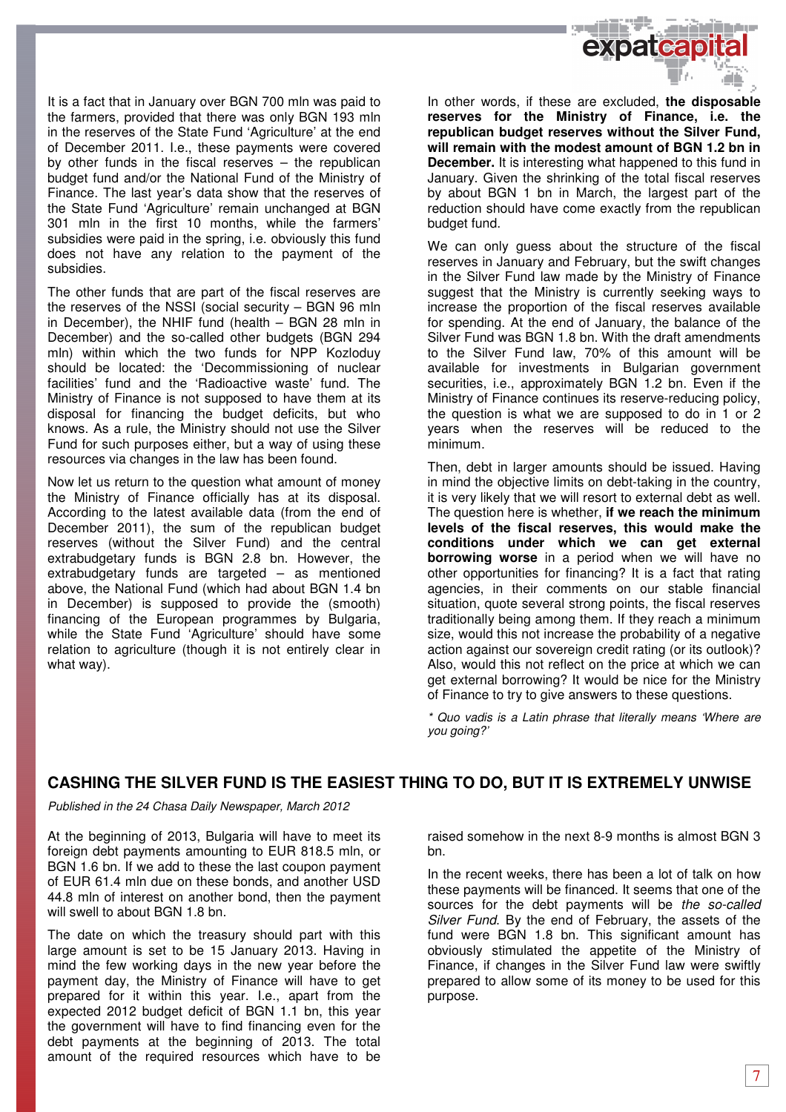

It is a fact that in January over BGN 700 mln was paid to the farmers, provided that there was only BGN 193 mln in the reserves of the State Fund 'Agriculture' at the end of December 2011. I.e., these payments were covered by other funds in the fiscal reserves – the republican budget fund and/or the National Fund of the Ministry of Finance. The last year's data show that the reserves of the State Fund 'Agriculture' remain unchanged at BGN 301 mln in the first 10 months, while the farmers' subsidies were paid in the spring, i.e. obviously this fund does not have any relation to the payment of the subsidies.

The other funds that are part of the fiscal reserves are the reserves of the NSSI (social security – BGN 96 mln in December), the NHIF fund (health – BGN 28 mln in December) and the so-called other budgets (BGN 294 mln) within which the two funds for NPP Kozloduy should be located: the 'Decommissioning of nuclear facilities' fund and the 'Radioactive waste' fund. The Ministry of Finance is not supposed to have them at its disposal for financing the budget deficits, but who knows. As a rule, the Ministry should not use the Silver Fund for such purposes either, but a way of using these resources via changes in the law has been found.

Now let us return to the question what amount of money the Ministry of Finance officially has at its disposal. According to the latest available data (from the end of December 2011), the sum of the republican budget reserves (without the Silver Fund) and the central extrabudgetary funds is BGN 2.8 bn. However, the extrabudgetary funds are targeted – as mentioned above, the National Fund (which had about BGN 1.4 bn in December) is supposed to provide the (smooth) financing of the European programmes by Bulgaria, while the State Fund 'Agriculture' should have some relation to agriculture (though it is not entirely clear in what way).

In other words, if these are excluded, **the disposable reserves for the Ministry of Finance, i.e. the republican budget reserves without the Silver Fund, will remain with the modest amount of BGN 1.2 bn in December.** It is interesting what happened to this fund in January. Given the shrinking of the total fiscal reserves by about BGN 1 bn in March, the largest part of the reduction should have come exactly from the republican budget fund.

We can only guess about the structure of the fiscal reserves in January and February, but the swift changes in the Silver Fund law made by the Ministry of Finance suggest that the Ministry is currently seeking ways to increase the proportion of the fiscal reserves available for spending. At the end of January, the balance of the Silver Fund was BGN 1.8 bn. With the draft amendments to the Silver Fund law, 70% of this amount will be available for investments in Bulgarian government securities, i.e., approximately BGN 1.2 bn. Even if the Ministry of Finance continues its reserve-reducing policy, the question is what we are supposed to do in 1 or 2 years when the reserves will be reduced to the minimum.

Then, debt in larger amounts should be issued. Having in mind the objective limits on debt-taking in the country, it is very likely that we will resort to external debt as well. The question here is whether, **if we reach the minimum levels of the fiscal reserves, this would make the conditions under which we can get external borrowing worse** in a period when we will have no other opportunities for financing? It is a fact that rating agencies, in their comments on our stable financial situation, quote several strong points, the fiscal reserves traditionally being among them. If they reach a minimum size, would this not increase the probability of a negative action against our sovereign credit rating (or its outlook)? Also, would this not reflect on the price at which we can get external borrowing? It would be nice for the Ministry of Finance to try to give answers to these questions.

\* Quo vadis is a Latin phrase that literally means 'Where are you going?'

## **CASHING THE SILVER FUND IS THE EASIEST THING TO DO, BUT IT IS EXTREMELY UNWISE**

Published in the 24 Chasa Daily Newspaper, March 2012

At the beginning of 2013, Bulgaria will have to meet its foreign debt payments amounting to EUR 818.5 mln, or BGN 1.6 bn. If we add to these the last coupon payment of EUR 61.4 mln due on these bonds, and another USD 44.8 mln of interest on another bond, then the payment will swell to about BGN 1.8 bn.

The date on which the treasury should part with this large amount is set to be 15 January 2013. Having in mind the few working days in the new year before the payment day, the Ministry of Finance will have to get prepared for it within this year. I.e., apart from the expected 2012 budget deficit of BGN 1.1 bn, this year the government will have to find financing even for the debt payments at the beginning of 2013. The total amount of the required resources which have to be

raised somehow in the next 8-9 months is almost BGN 3 bn.

In the recent weeks, there has been a lot of talk on how these payments will be financed. It seems that one of the sources for the debt payments will be the so-called Silver Fund. By the end of February, the assets of the fund were BGN 1.8 bn. This significant amount has obviously stimulated the appetite of the Ministry of Finance, if changes in the Silver Fund law were swiftly prepared to allow some of its money to be used for this purpose.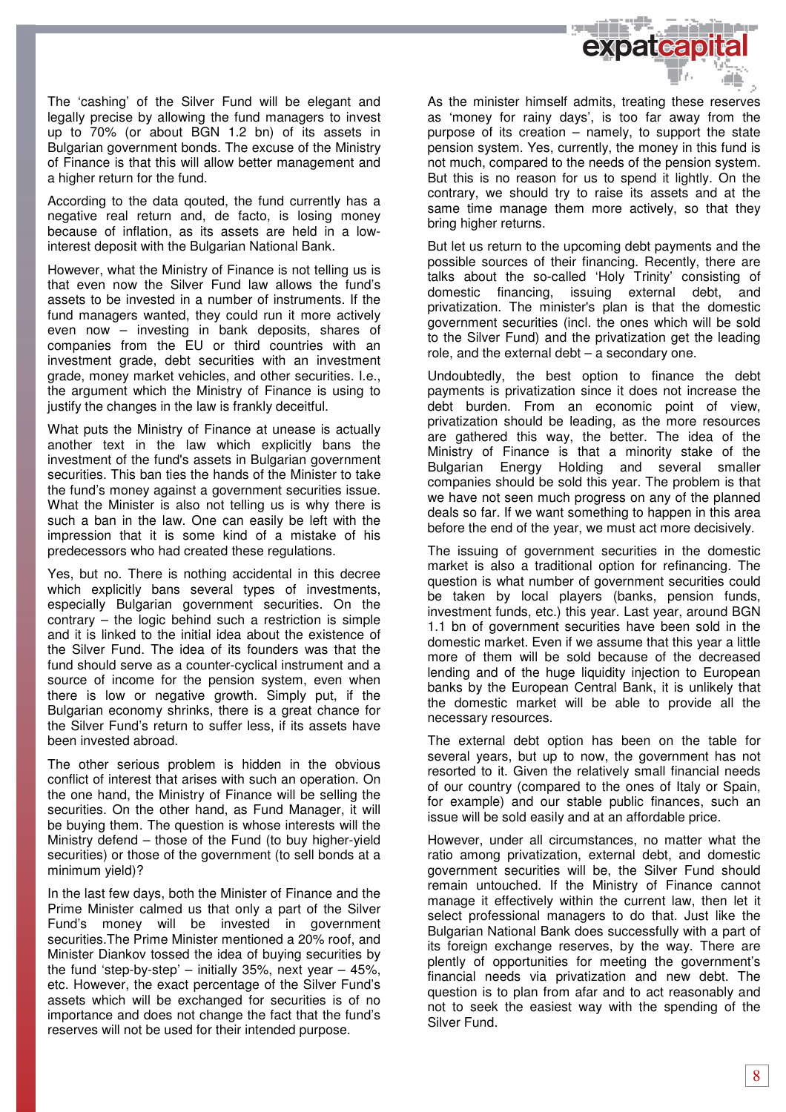

The 'cashing' of the Silver Fund will be elegant and legally precise by allowing the fund managers to invest up to 70% (or about BGN 1.2 bn) of its assets in Bulgarian government bonds. The excuse of the Ministry of Finance is that this will allow better management and a higher return for the fund.

According to the data qouted, the fund currently has a negative real return and, de facto, is losing money because of inflation, as its assets are held in a lowinterest deposit with the Bulgarian National Bank.

However, what the Ministry of Finance is not telling us is that even now the Silver Fund law allows the fund's assets to be invested in a number of instruments. If the fund managers wanted, they could run it more actively even now – investing in bank deposits, shares of companies from the EU or third countries with an investment grade, debt securities with an investment grade, money market vehicles, and other securities. I.e., the argument which the Ministry of Finance is using to justify the changes in the law is frankly deceitful.

What puts the Ministry of Finance at unease is actually another text in the law which explicitly bans the investment of the fund's assets in Bulgarian government securities. This ban ties the hands of the Minister to take the fund's money against a government securities issue. What the Minister is also not telling us is why there is such a ban in the law. One can easily be left with the impression that it is some kind of a mistake of his predecessors who had created these regulations.

Yes, but no. There is nothing accidental in this decree which explicitly bans several types of investments, especially Bulgarian government securities. On the  $contrary - the  $loqic$  behind such a restriction is simple$ and it is linked to the initial idea about the existence of the Silver Fund. The idea of its founders was that the fund should serve as a counter-cyclical instrument and a source of income for the pension system, even when there is low or negative growth. Simply put, if the Bulgarian economy shrinks, there is a great chance for the Silver Fund's return to suffer less, if its assets have been invested abroad.

The other serious problem is hidden in the obvious conflict of interest that arises with such an operation. On the one hand, the Ministry of Finance will be selling the securities. On the other hand, as Fund Manager, it will be buying them. The question is whose interests will the Ministry defend – those of the Fund (to buy higher-yield securities) or those of the government (to sell bonds at a minimum yield)?

In the last few days, both the Minister of Finance and the Prime Minister calmed us that only a part of the Silver Fund's money will be invested in government securities.The Prime Minister mentioned a 20% roof, and Minister Diankov tossed the idea of buying securities by the fund 'step-by-step' – initially 35%, next year – 45%, etc. However, the exact percentage of the Silver Fund's assets which will be exchanged for securities is of no importance and does not change the fact that the fund's reserves will not be used for their intended purpose.

As the minister himself admits, treating these reserves as 'money for rainy days', is too far away from the purpose of its creation – namely, to support the state pension system. Yes, currently, the money in this fund is not much, compared to the needs of the pension system. But this is no reason for us to spend it lightly. On the contrary, we should try to raise its assets and at the same time manage them more actively, so that they bring higher returns.

But let us return to the upcoming debt payments and the possible sources of their financing. Recently, there are talks about the so-called 'Holy Trinity' consisting of domestic financing, issuing external debt, and privatization. The minister's plan is that the domestic government securities (incl. the ones which will be sold to the Silver Fund) and the privatization get the leading role, and the external debt – a secondary one.

Undoubtedly, the best option to finance the debt payments is privatization since it does not increase the debt burden. From an economic point of view, privatization should be leading, as the more resources are gathered this way, the better. The idea of the Ministry of Finance is that a minority stake of the Bulgarian Energy Holding and several smaller companies should be sold this year. The problem is that we have not seen much progress on any of the planned deals so far. If we want something to happen in this area before the end of the year, we must act more decisively.

The issuing of government securities in the domestic market is also a traditional option for refinancing. The question is what number of government securities could be taken by local players (banks, pension funds, investment funds, etc.) this year. Last year, around BGN 1.1 bn of government securities have been sold in the domestic market. Even if we assume that this year a little more of them will be sold because of the decreased lending and of the huge liquidity injection to European banks by the European Central Bank, it is unlikely that the domestic market will be able to provide all the necessary resources.

The external debt option has been on the table for several years, but up to now, the government has not resorted to it. Given the relatively small financial needs of our country (compared to the ones of Italy or Spain, for example) and our stable public finances, such an issue will be sold easily and at an affordable price.

However, under all circumstances, no matter what the ratio among privatization, external debt, and domestic government securities will be, the Silver Fund should remain untouched. If the Ministry of Finance cannot manage it effectively within the current law, then let it select professional managers to do that. Just like the Bulgarian National Bank does successfully with a part of its foreign exchange reserves, by the way. There are plently of opportunities for meeting the government's financial needs via privatization and new debt. The question is to plan from afar and to act reasonably and not to seek the easiest way with the spending of the Silver Fund.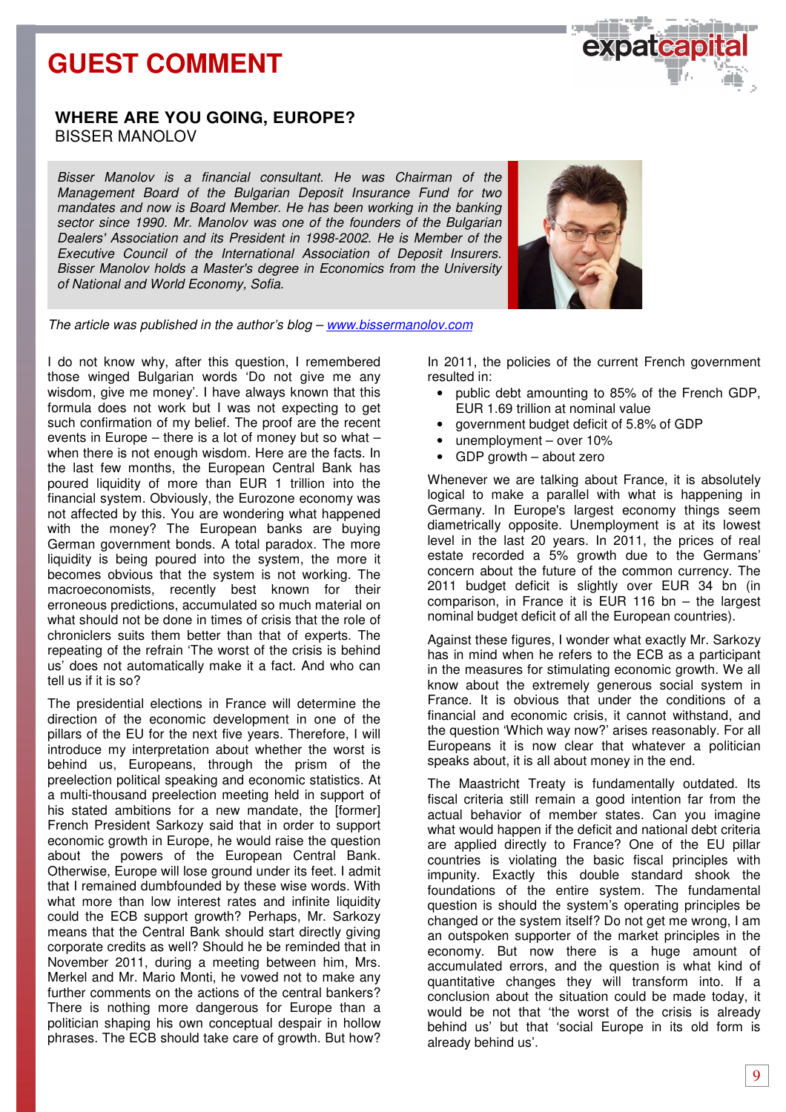

## **WHERE ARE YOU GOING, EUROPE?** BISSER MANOLOV

Bisser Manolov is a financial consultant. He was Chairman of the Management Board of the Bulgarian Deposit Insurance Fund for two mandates and now is Board Member. He has been working in the banking sector since 1990. Mr. Manolov was one of the founders of the Bulgarian Dealers' Association and its President in 1998-2002. He is Member of the Executive Council of the International Association of Deposit Insurers. Bisser Manolov holds a Master's degree in Economics from the University of National and World Economy, Sofia.



The article was published in the author's blog - www.bissermanolov.com

I do not know why, after this question, I remembered those winged Bulgarian words 'Do not give me any wisdom, give me money'. I have always known that this formula does not work but I was not expecting to get such confirmation of my belief. The proof are the recent events in Europe – there is a lot of money but so what – when there is not enough wisdom. Here are the facts. In the last few months, the European Central Bank has poured liquidity of more than EUR 1 trillion into the financial system. Obviously, the Eurozone economy was not affected by this. You are wondering what happened with the money? The European banks are buying German government bonds. A total paradox. The more liquidity is being poured into the system, the more it becomes obvious that the system is not working. The macroeconomists, recently best known for their erroneous predictions, accumulated so much material on what should not be done in times of crisis that the role of chroniclers suits them better than that of experts. The repeating of the refrain 'The worst of the crisis is behind us' does not automatically make it a fact. And who can tell us if it is so?

The presidential elections in France will determine the direction of the economic development in one of the pillars of the EU for the next five years. Therefore, I will introduce my interpretation about whether the worst is behind us, Europeans, through the prism of the preelection political speaking and economic statistics. At a multi-thousand preelection meeting held in support of his stated ambitions for a new mandate, the [former] French President Sarkozy said that in order to support economic growth in Europe, he would raise the question about the powers of the European Central Bank. Otherwise, Europe will lose ground under its feet. I admit that I remained dumbfounded by these wise words. With what more than low interest rates and infinite liquidity could the ECB support growth? Perhaps, Mr. Sarkozy means that the Central Bank should start directly giving corporate credits as well? Should he be reminded that in November 2011, during a meeting between him, Mrs. Merkel and Mr. Mario Monti, he vowed not to make any further comments on the actions of the central bankers? There is nothing more dangerous for Europe than a politician shaping his own conceptual despair in hollow phrases. The ECB should take care of growth. But how?

In 2011, the policies of the current French government resulted in:

- public debt amounting to 85% of the French GDP, EUR 1.69 trillion at nominal value
- government budget deficit of 5.8% of GDP
- unemployment over 10%
- GDP growth about zero

Whenever we are talking about France, it is absolutely logical to make a parallel with what is happening in Germany. In Europe's largest economy things seem diametrically opposite. Unemployment is at its lowest level in the last 20 years. In 2011, the prices of real estate recorded a 5% growth due to the Germans' concern about the future of the common currency. The 2011 budget deficit is slightly over EUR 34 bn (in comparison, in France it is EUR 116 bn – the largest nominal budget deficit of all the European countries).

Against these figures, I wonder what exactly Mr. Sarkozy has in mind when he refers to the ECB as a participant in the measures for stimulating economic growth. We all know about the extremely generous social system in France. It is obvious that under the conditions of a financial and economic crisis, it cannot withstand, and the question 'Which way now?' arises reasonably. For all Europeans it is now clear that whatever a politician speaks about, it is all about money in the end.

The Maastricht Treaty is fundamentally outdated. Its fiscal criteria still remain a good intention far from the actual behavior of member states. Can you imagine what would happen if the deficit and national debt criteria are applied directly to France? One of the EU pillar countries is violating the basic fiscal principles with impunity. Exactly this double standard shook the foundations of the entire system. The fundamental question is should the system's operating principles be changed or the system itself? Do not get me wrong, I am an outspoken supporter of the market principles in the economy. But now there is a huge amount of accumulated errors, and the question is what kind of quantitative changes they will transform into. If a conclusion about the situation could be made today, it would be not that 'the worst of the crisis is already behind us' but that 'social Europe in its old form is already behind us'.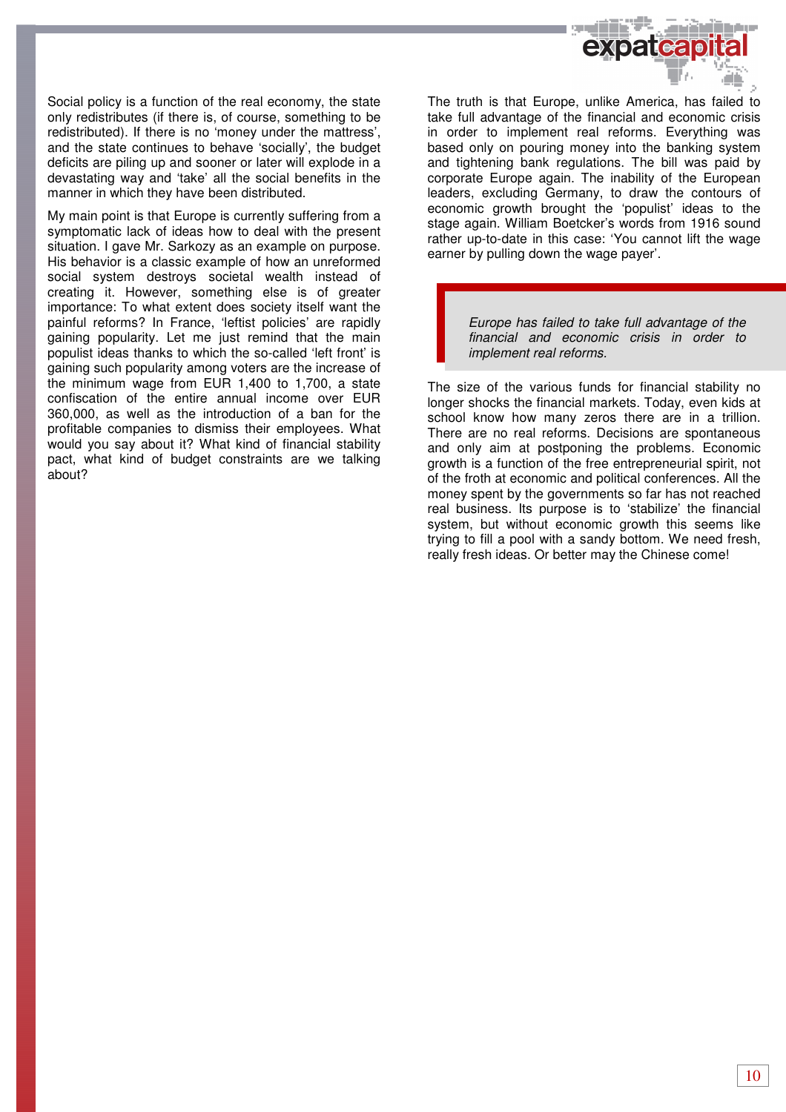

Social policy is a function of the real economy, the state only redistributes (if there is, of course, something to be redistributed). If there is no 'money under the mattress', and the state continues to behave 'socially', the budget deficits are piling up and sooner or later will explode in a devastating way and 'take' all the social benefits in the manner in which they have been distributed.

My main point is that Europe is currently suffering from a symptomatic lack of ideas how to deal with the present situation. I gave Mr. Sarkozy as an example on purpose. His behavior is a classic example of how an unreformed social system destroys societal wealth instead of creating it. However, something else is of greater importance: To what extent does society itself want the painful reforms? In France, 'leftist policies' are rapidly gaining popularity. Let me just remind that the main populist ideas thanks to which the so-called 'left front' is gaining such popularity among voters are the increase of the minimum wage from EUR 1,400 to 1,700, a state confiscation of the entire annual income over EUR 360,000, as well as the introduction of a ban for the profitable companies to dismiss their employees. What would you say about it? What kind of financial stability pact, what kind of budget constraints are we talking about?

The truth is that Europe, unlike America, has failed to take full advantage of the financial and economic crisis in order to implement real reforms. Everything was based only on pouring money into the banking system and tightening bank regulations. The bill was paid by corporate Europe again. The inability of the European leaders, excluding Germany, to draw the contours of economic growth brought the 'populist' ideas to the stage again. William Boetcker's words from 1916 sound rather up-to-date in this case: 'You cannot lift the wage earner by pulling down the wage payer'.

> Europe has failed to take full advantage of the financial and economic crisis in order to implement real reforms.

The size of the various funds for financial stability no longer shocks the financial markets. Today, even kids at school know how many zeros there are in a trillion. There are no real reforms. Decisions are spontaneous and only aim at postponing the problems. Economic growth is a function of the free entrepreneurial spirit, not of the froth at economic and political conferences. All the money spent by the governments so far has not reached real business. Its purpose is to 'stabilize' the financial system, but without economic growth this seems like trying to fill a pool with a sandy bottom. We need fresh, really fresh ideas. Or better may the Chinese come!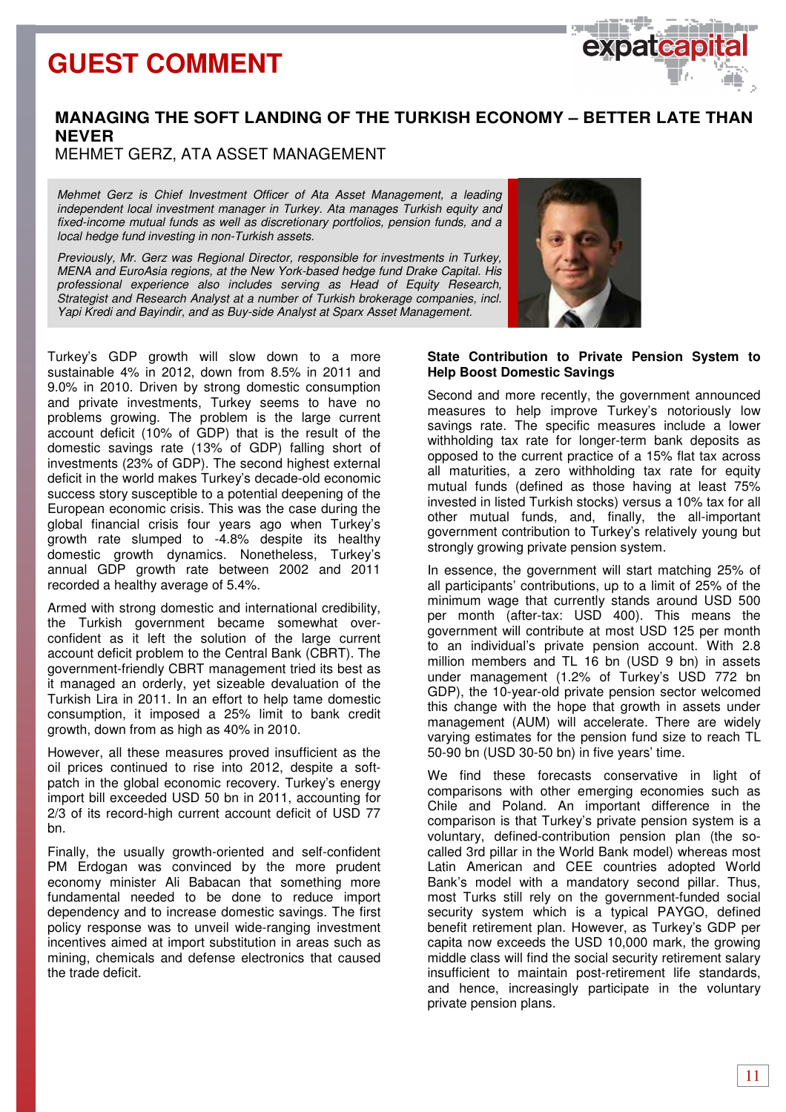

MEHMET GERZ, ATA ASSET MANAGEMENT

Mehmet Gerz is Chief Investment Officer of Ata Asset Management, a leading independent local investment manager in Turkey. Ata manages Turkish equity and fixed-income mutual funds as well as discretionary portfolios, pension funds, and a local hedge fund investing in non-Turkish assets.

Previously, Mr. Gerz was Regional Director, responsible for investments in Turkey, MENA and EuroAsia regions, at the New York-based hedge fund Drake Capital. His professional experience also includes serving as Head of Equity Research, Strategist and Research Analyst at a number of Turkish brokerage companies, incl. Yapi Kredi and Bayindir, and as Buy-side Analyst at Sparx Asset Management.

Turkey's GDP growth will slow down to a more sustainable 4% in 2012, down from 8.5% in 2011 and 9.0% in 2010. Driven by strong domestic consumption and private investments, Turkey seems to have no problems growing. The problem is the large current account deficit (10% of GDP) that is the result of the domestic savings rate (13% of GDP) falling short of investments (23% of GDP). The second highest external deficit in the world makes Turkey's decade-old economic success story susceptible to a potential deepening of the European economic crisis. This was the case during the global financial crisis four years ago when Turkey's growth rate slumped to -4.8% despite its healthy domestic growth dynamics. Nonetheless, Turkey's annual GDP growth rate between 2002 and 2011 recorded a healthy average of 5.4%.

Armed with strong domestic and international credibility, the Turkish government became somewhat overconfident as it left the solution of the large current account deficit problem to the Central Bank (CBRT). The government-friendly CBRT management tried its best as it managed an orderly, yet sizeable devaluation of the Turkish Lira in 2011. In an effort to help tame domestic consumption, it imposed a 25% limit to bank credit growth, down from as high as 40% in 2010.

However, all these measures proved insufficient as the oil prices continued to rise into 2012, despite a softpatch in the global economic recovery. Turkey's energy import bill exceeded USD 50 bn in 2011, accounting for 2/3 of its record-high current account deficit of USD 77 bn.

Finally, the usually growth-oriented and self-confident PM Erdogan was convinced by the more prudent economy minister Ali Babacan that something more fundamental needed to be done to reduce import dependency and to increase domestic savings. The first policy response was to unveil wide-ranging investment incentives aimed at import substitution in areas such as mining, chemicals and defense electronics that caused the trade deficit.



 $O(X)$ 

### **State Contribution to Private Pension System to Help Boost Domestic Savings**

Second and more recently, the government announced measures to help improve Turkey's notoriously low savings rate. The specific measures include a lower withholding tax rate for longer-term bank deposits as opposed to the current practice of a 15% flat tax across all maturities, a zero withholding tax rate for equity mutual funds (defined as those having at least 75% invested in listed Turkish stocks) versus a 10% tax for all other mutual funds, and, finally, the all-important government contribution to Turkey's relatively young but strongly growing private pension system.

In essence, the government will start matching 25% of all participants' contributions, up to a limit of 25% of the minimum wage that currently stands around USD 500 per month (after-tax: USD 400). This means the government will contribute at most USD 125 per month to an individual's private pension account. With 2.8 million members and TL 16 bn (USD 9 bn) in assets under management (1.2% of Turkey's USD 772 bn GDP), the 10-year-old private pension sector welcomed this change with the hope that growth in assets under management (AUM) will accelerate. There are widely varying estimates for the pension fund size to reach TL 50-90 bn (USD 30-50 bn) in five years' time.

We find these forecasts conservative in light of comparisons with other emerging economies such as Chile and Poland. An important difference in the comparison is that Turkey's private pension system is a voluntary, defined-contribution pension plan (the socalled 3rd pillar in the World Bank model) whereas most Latin American and CEE countries adopted World Bank's model with a mandatory second pillar. Thus, most Turks still rely on the government-funded social security system which is a typical PAYGO, defined benefit retirement plan. However, as Turkey's GDP per capita now exceeds the USD 10,000 mark, the growing middle class will find the social security retirement salary insufficient to maintain post-retirement life standards, and hence, increasingly participate in the voluntary private pension plans.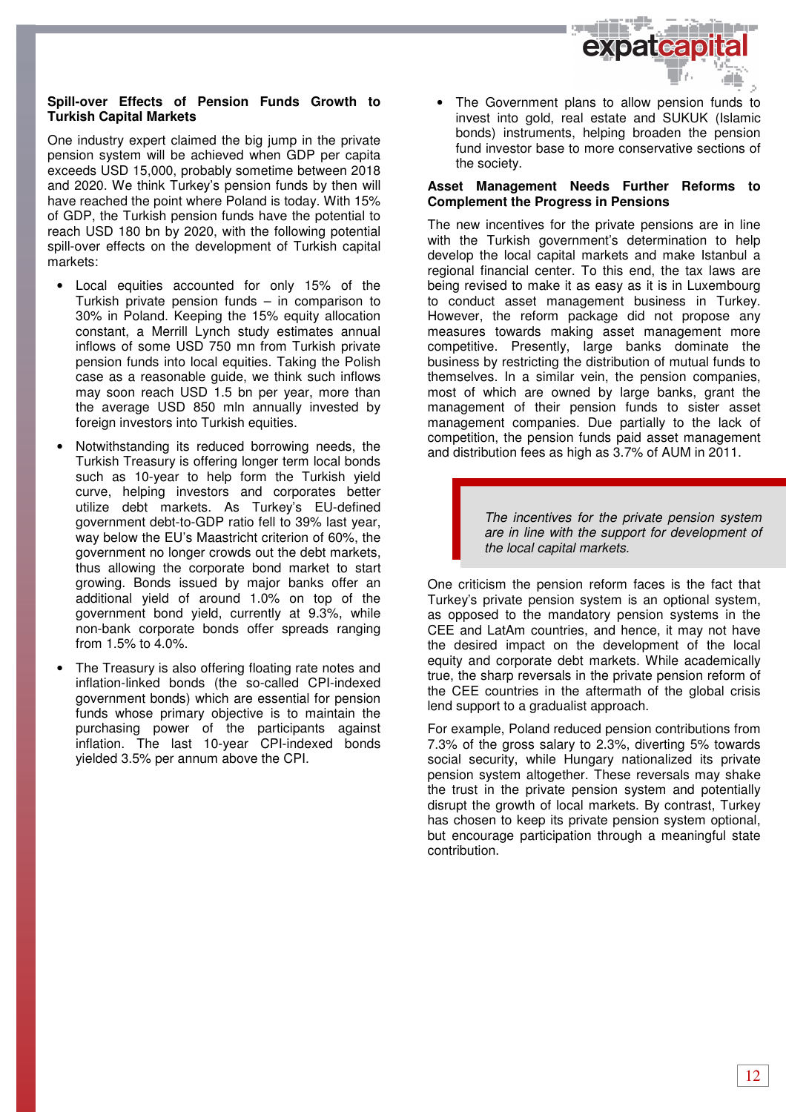

### **Spill-over Effects of Pension Funds Growth to Turkish Capital Markets**

One industry expert claimed the big jump in the private pension system will be achieved when GDP per capita exceeds USD 15,000, probably sometime between 2018 and 2020. We think Turkey's pension funds by then will have reached the point where Poland is today. With 15% of GDP, the Turkish pension funds have the potential to reach USD 180 bn by 2020, with the following potential spill-over effects on the development of Turkish capital markets:

- Local equities accounted for only 15% of the Turkish private pension funds – in comparison to 30% in Poland. Keeping the 15% equity allocation constant, a Merrill Lynch study estimates annual inflows of some USD 750 mn from Turkish private pension funds into local equities. Taking the Polish case as a reasonable guide, we think such inflows may soon reach USD 1.5 bn per year, more than the average USD 850 mln annually invested by foreign investors into Turkish equities.
- Notwithstanding its reduced borrowing needs, the Turkish Treasury is offering longer term local bonds such as 10-year to help form the Turkish yield curve, helping investors and corporates better utilize debt markets. As Turkey's EU-defined government debt-to-GDP ratio fell to 39% last year, way below the EU's Maastricht criterion of 60%, the government no longer crowds out the debt markets, thus allowing the corporate bond market to start growing. Bonds issued by major banks offer an additional yield of around 1.0% on top of the government bond yield, currently at 9.3%, while non-bank corporate bonds offer spreads ranging from 1.5% to 4.0%.
- The Treasury is also offering floating rate notes and inflation-linked bonds (the so-called CPI-indexed government bonds) which are essential for pension funds whose primary objective is to maintain the purchasing power of the participants against inflation. The last 10-year CPI-indexed bonds yielded 3.5% per annum above the CPI.

The Government plans to allow pension funds to invest into gold, real estate and SUKUK (Islamic bonds) instruments, helping broaden the pension fund investor base to more conservative sections of the society.

#### **Asset Management Needs Further Reforms to Complement the Progress in Pensions**

The new incentives for the private pensions are in line with the Turkish government's determination to help develop the local capital markets and make Istanbul a regional financial center. To this end, the tax laws are being revised to make it as easy as it is in Luxembourg to conduct asset management business in Turkey. However, the reform package did not propose any measures towards making asset management more competitive. Presently, large banks dominate the business by restricting the distribution of mutual funds to themselves. In a similar vein, the pension companies, most of which are owned by large banks, grant the management of their pension funds to sister asset management companies. Due partially to the lack of competition, the pension funds paid asset management and distribution fees as high as 3.7% of AUM in 2011.

> The incentives for the private pension system are in line with the support for development of the local capital markets.

One criticism the pension reform faces is the fact that Turkey's private pension system is an optional system, as opposed to the mandatory pension systems in the CEE and LatAm countries, and hence, it may not have the desired impact on the development of the local equity and corporate debt markets. While academically true, the sharp reversals in the private pension reform of the CEE countries in the aftermath of the global crisis lend support to a gradualist approach.

For example, Poland reduced pension contributions from 7.3% of the gross salary to 2.3%, diverting 5% towards social security, while Hungary nationalized its private pension system altogether. These reversals may shake the trust in the private pension system and potentially disrupt the growth of local markets. By contrast, Turkey has chosen to keep its private pension system optional, but encourage participation through a meaningful state contribution.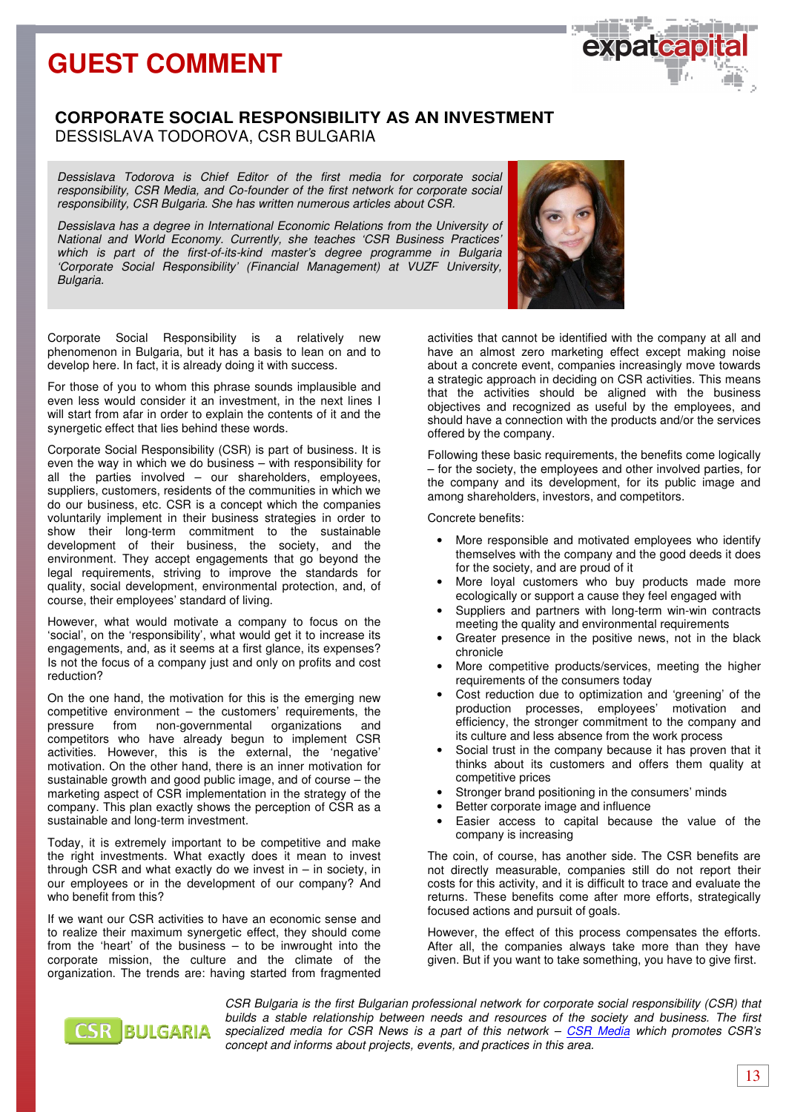## **CORPORATE SOCIAL RESPONSIBILITY AS AN INVESTMENT** DESSISLAVA TODOROVA, CSR BULGARIA

Dessislava Todorova is Chief Editor of the first media for corporate social responsibility, CSR Media, and Co-founder of the first network for corporate social responsibility, CSR Bulgaria. She has written numerous articles about CSR.

Dessislava has a degree in International Economic Relations from the University of National and World Economy. Currently, she teaches 'CSR Business Practices' which is part of the first-of-its-kind master's degree programme in Bulgaria 'Corporate Social Responsibility' (Financial Management) at VUZF University, Bulgaria.

Corporate Social Responsibility is a relatively new phenomenon in Bulgaria, but it has a basis to lean on and to develop here. In fact, it is already doing it with success.

For those of you to whom this phrase sounds implausible and even less would consider it an investment, in the next lines I will start from afar in order to explain the contents of it and the synergetic effect that lies behind these words.

Corporate Social Responsibility (CSR) is part of business. It is even the way in which we do business – with responsibility for all the parties involved – our shareholders, employees, suppliers, customers, residents of the communities in which we do our business, etc. CSR is a concept which the companies voluntarily implement in their business strategies in order to show their long-term commitment to the sustainable development of their business, the society, and the environment. They accept engagements that go beyond the legal requirements, striving to improve the standards for quality, social development, environmental protection, and, of course, their employees' standard of living.

However, what would motivate a company to focus on the 'social', on the 'responsibility', what would get it to increase its engagements, and, as it seems at a first glance, its expenses? Is not the focus of a company just and only on profits and cost reduction?

On the one hand, the motivation for this is the emerging new competitive environment – the customers' requirements, the pressure from non-governmental organizations and competitors who have already begun to implement CSR activities. However, this is the external, the 'negative' motivation. On the other hand, there is an inner motivation for sustainable growth and good public image, and of course – the marketing aspect of CSR implementation in the strategy of the company. This plan exactly shows the perception of CSR as a sustainable and long-term investment.

Today, it is extremely important to be competitive and make the right investments. What exactly does it mean to invest through CSR and what exactly do we invest in  $-$  in society, in our employees or in the development of our company? And who benefit from this?

If we want our CSR activities to have an economic sense and to realize their maximum synergetic effect, they should come from the 'heart' of the business – to be inwrought into the corporate mission, the culture and the climate of the organization. The trends are: having started from fragmented

activities that cannot be identified with the company at all and have an almost zero marketing effect except making noise about a concrete event, companies increasingly move towards a strategic approach in deciding on CSR activities. This means that the activities should be aligned with the business objectives and recognized as useful by the employees, and should have a connection with the products and/or the services offered by the company.

Following these basic requirements, the benefits come logically – for the society, the employees and other involved parties, for the company and its development, for its public image and among shareholders, investors, and competitors.

Concrete benefits:

- More responsible and motivated employees who identify themselves with the company and the good deeds it does for the society, and are proud of it
- More loyal customers who buy products made more ecologically or support a cause they feel engaged with
- Suppliers and partners with long-term win-win contracts meeting the quality and environmental requirements
- Greater presence in the positive news, not in the black chronicle
- More competitive products/services, meeting the higher requirements of the consumers today
- Cost reduction due to optimization and 'greening' of the production processes, employees' motivation and efficiency, the stronger commitment to the company and its culture and less absence from the work process
- Social trust in the company because it has proven that it thinks about its customers and offers them quality at competitive prices
- Stronger brand positioning in the consumers' minds
- Better corporate image and influence
- Easier access to capital because the value of the company is increasing

The coin, of course, has another side. The CSR benefits are not directly measurable, companies still do not report their costs for this activity, and it is difficult to trace and evaluate the returns. These benefits come after more efforts, strategically focused actions and pursuit of goals.

However, the effect of this process compensates the efforts. After all, the companies always take more than they have given. But if you want to take something, you have to give first.



CSR Bulgaria is the first Bulgarian professional network for corporate social responsibility (CSR) that builds a stable relationship between needs and resources of the society and business. The first specialized media for CSR News is a part of this network  $-$  CSR Media which promotes CSR's concept and informs about projects, events, and practices in this area.



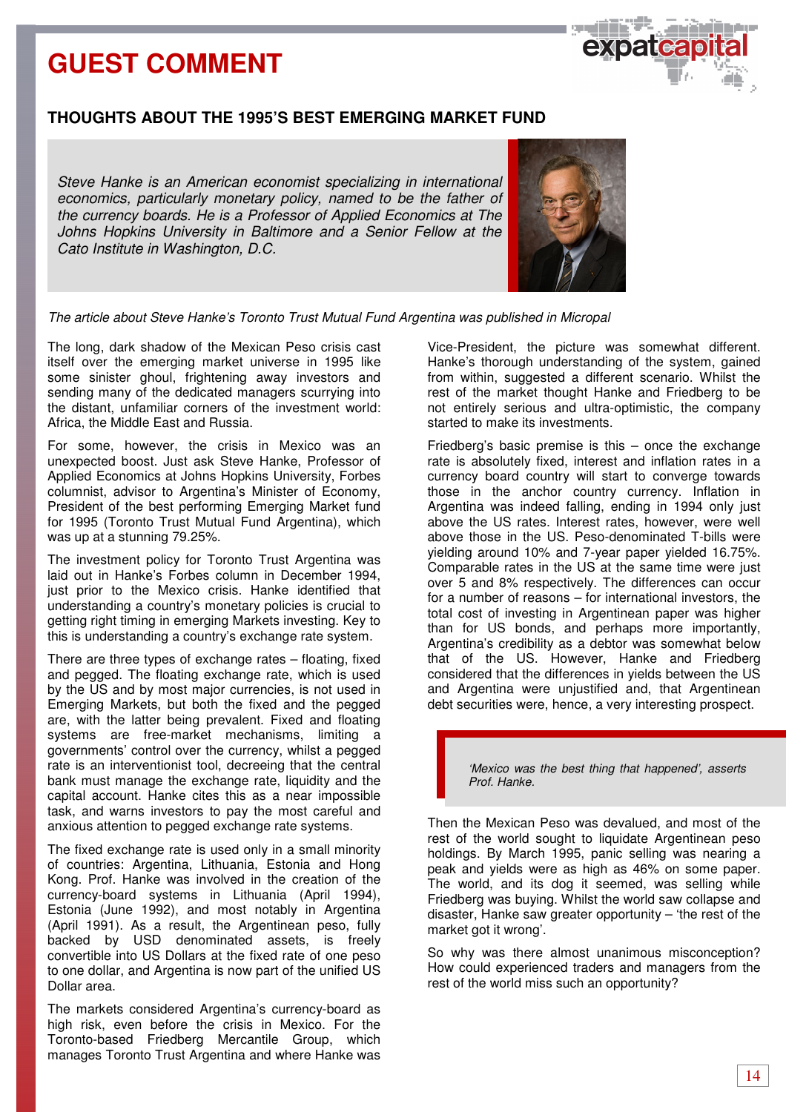

## **THOUGHTS ABOUT THE 1995'S BEST EMERGING MARKET FUND**

Steve Hanke is an American economist specializing in international economics, particularly monetary policy, named to be the father of the currency boards. He is a Professor of Applied Economics at The Johns Hopkins University in Baltimore and a Senior Fellow at the Cato Institute in Washington, D.C.



The article about Steve Hanke's Toronto Trust Mutual Fund Argentina was published in Micropal

The long, dark shadow of the Mexican Peso crisis cast itself over the emerging market universe in 1995 like some sinister ghoul, frightening away investors and sending many of the dedicated managers scurrying into the distant, unfamiliar corners of the investment world: Africa, the Middle East and Russia.

For some, however, the crisis in Mexico was an unexpected boost. Just ask Steve Hanke, Professor of Applied Economics at Johns Hopkins University, Forbes columnist, advisor to Argentina's Minister of Economy, President of the best performing Emerging Market fund for 1995 (Toronto Trust Mutual Fund Argentina), which was up at a stunning 79.25%.

The investment policy for Toronto Trust Argentina was laid out in Hanke's Forbes column in December 1994, just prior to the Mexico crisis. Hanke identified that understanding a country's monetary policies is crucial to getting right timing in emerging Markets investing. Key to this is understanding a country's exchange rate system.

There are three types of exchange rates – floating, fixed and pegged. The floating exchange rate, which is used by the US and by most major currencies, is not used in Emerging Markets, but both the fixed and the pegged are, with the latter being prevalent. Fixed and floating systems are free-market mechanisms, limiting a governments' control over the currency, whilst a pegged rate is an interventionist tool, decreeing that the central bank must manage the exchange rate, liquidity and the capital account. Hanke cites this as a near impossible task, and warns investors to pay the most careful and anxious attention to pegged exchange rate systems.

The fixed exchange rate is used only in a small minority of countries: Argentina, Lithuania, Estonia and Hong Kong. Prof. Hanke was involved in the creation of the currency-board systems in Lithuania (April 1994), Estonia (June 1992), and most notably in Argentina (April 1991). As a result, the Argentinean peso, fully backed by USD denominated assets, is freely convertible into US Dollars at the fixed rate of one peso to one dollar, and Argentina is now part of the unified US Dollar area.

The markets considered Argentina's currency-board as high risk, even before the crisis in Mexico. For the Toronto-based Friedberg Mercantile Group, which manages Toronto Trust Argentina and where Hanke was Vice-President, the picture was somewhat different. Hanke's thorough understanding of the system, gained from within, suggested a different scenario. Whilst the rest of the market thought Hanke and Friedberg to be not entirely serious and ultra-optimistic, the company started to make its investments.

Friedberg's basic premise is this – once the exchange rate is absolutely fixed, interest and inflation rates in a currency board country will start to converge towards those in the anchor country currency. Inflation in Argentina was indeed falling, ending in 1994 only just above the US rates. Interest rates, however, were well above those in the US. Peso-denominated T-bills were yielding around 10% and 7-year paper yielded 16.75%. Comparable rates in the US at the same time were just over 5 and 8% respectively. The differences can occur for a number of reasons – for international investors, the total cost of investing in Argentinean paper was higher than for US bonds, and perhaps more importantly, Argentina's credibility as a debtor was somewhat below that of the US. However, Hanke and Friedberg considered that the differences in yields between the US and Argentina were unjustified and, that Argentinean debt securities were, hence, a very interesting prospect.

> 'Mexico was the best thing that happened', asserts Prof. Hanke.

Then the Mexican Peso was devalued, and most of the rest of the world sought to liquidate Argentinean peso holdings. By March 1995, panic selling was nearing a peak and yields were as high as 46% on some paper. The world, and its dog it seemed, was selling while Friedberg was buying. Whilst the world saw collapse and disaster, Hanke saw greater opportunity – 'the rest of the market got it wrong'.

So why was there almost unanimous misconception? How could experienced traders and managers from the rest of the world miss such an opportunity?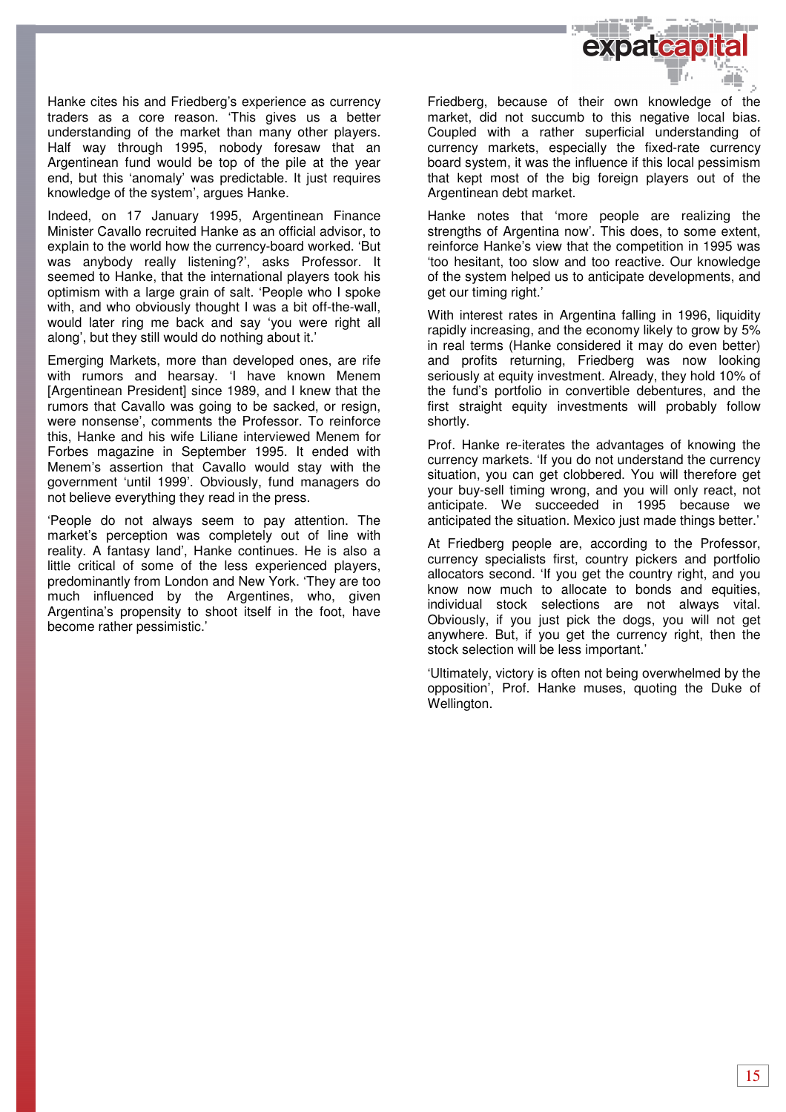

Hanke cites his and Friedberg's experience as currency traders as a core reason. 'This gives us a better understanding of the market than many other players. Half way through 1995, nobody foresaw that an Argentinean fund would be top of the pile at the year end, but this 'anomaly' was predictable. It just requires knowledge of the system', argues Hanke.

Indeed, on 17 January 1995, Argentinean Finance Minister Cavallo recruited Hanke as an official advisor, to explain to the world how the currency-board worked. 'But was anybody really listening?', asks Professor. It seemed to Hanke, that the international players took his optimism with a large grain of salt. 'People who I spoke with, and who obviously thought I was a bit off-the-wall, would later ring me back and say 'you were right all along', but they still would do nothing about it.'

Emerging Markets, more than developed ones, are rife with rumors and hearsay. 'I have known Menem [Argentinean President] since 1989, and I knew that the rumors that Cavallo was going to be sacked, or resign, were nonsense', comments the Professor. To reinforce this, Hanke and his wife Liliane interviewed Menem for Forbes magazine in September 1995. It ended with Menem's assertion that Cavallo would stay with the government 'until 1999'. Obviously, fund managers do not believe everything they read in the press.

'People do not always seem to pay attention. The market's perception was completely out of line with reality. A fantasy land', Hanke continues. He is also a little critical of some of the less experienced players, predominantly from London and New York. 'They are too much influenced by the Argentines, who, given Argentina's propensity to shoot itself in the foot, have become rather pessimistic.'

Friedberg, because of their own knowledge of the market, did not succumb to this negative local bias. Coupled with a rather superficial understanding of currency markets, especially the fixed-rate currency board system, it was the influence if this local pessimism that kept most of the big foreign players out of the Argentinean debt market.

Hanke notes that 'more people are realizing the strengths of Argentina now'. This does, to some extent, reinforce Hanke's view that the competition in 1995 was 'too hesitant, too slow and too reactive. Our knowledge of the system helped us to anticipate developments, and get our timing right.'

With interest rates in Argentina falling in 1996, liquidity rapidly increasing, and the economy likely to grow by 5% in real terms (Hanke considered it may do even better) and profits returning, Friedberg was now looking seriously at equity investment. Already, they hold 10% of the fund's portfolio in convertible debentures, and the first straight equity investments will probably follow shortly.

Prof. Hanke re-iterates the advantages of knowing the currency markets. 'If you do not understand the currency situation, you can get clobbered. You will therefore get your buy-sell timing wrong, and you will only react, not anticipate. We succeeded in 1995 because we anticipated the situation. Mexico just made things better.'

At Friedberg people are, according to the Professor, currency specialists first, country pickers and portfolio allocators second. 'If you get the country right, and you know now much to allocate to bonds and equities, individual stock selections are not always vital. Obviously, if you just pick the dogs, you will not get anywhere. But, if you get the currency right, then the stock selection will be less important.'

'Ultimately, victory is often not being overwhelmed by the opposition', Prof. Hanke muses, quoting the Duke of Wellington.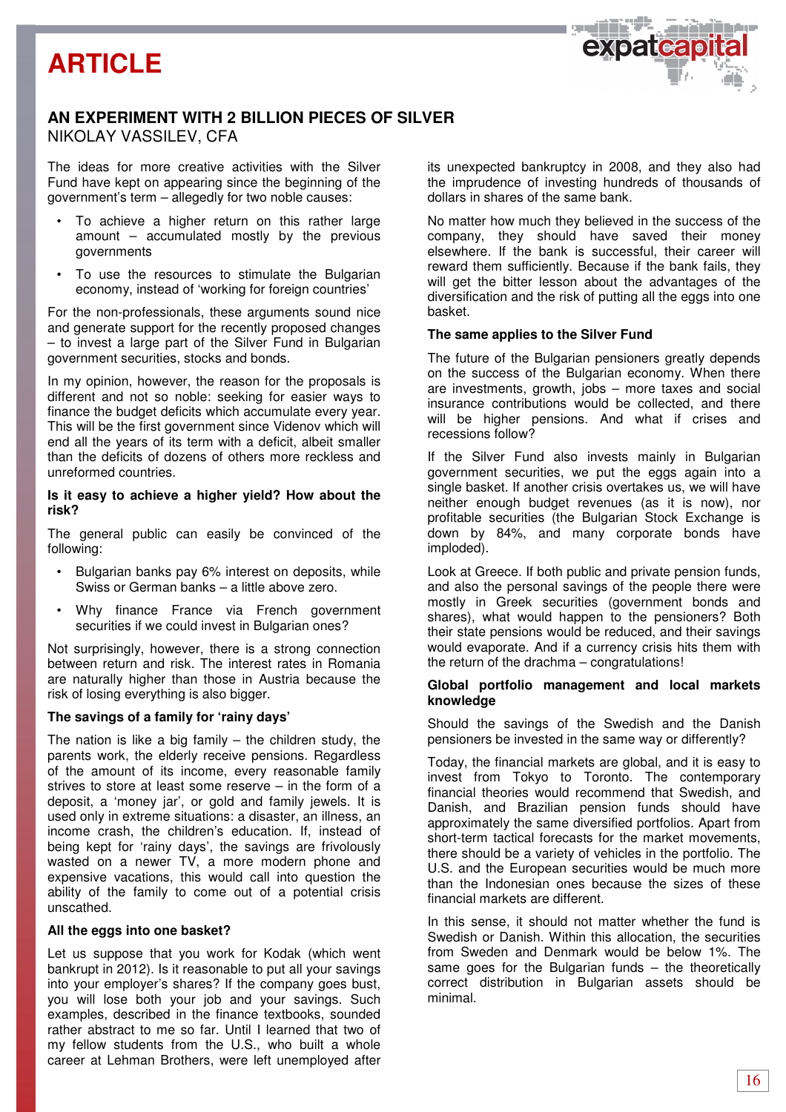



## **AN EXPERIMENT WITH 2 BILLION PIECES OF SILVER**  NIKOLAY VASSILEV, CFA

The ideas for more creative activities with the Silver Fund have kept on appearing since the beginning of the government's term – allegedly for two noble causes:

- To achieve a higher return on this rather large amount – accumulated mostly by the previous governments
- To use the resources to stimulate the Bulgarian economy, instead of 'working for foreign countries'

For the non-professionals, these arguments sound nice and generate support for the recently proposed changes – to invest a large part of the Silver Fund in Bulgarian government securities, stocks and bonds.

In my opinion, however, the reason for the proposals is different and not so noble: seeking for easier ways to finance the budget deficits which accumulate every year. This will be the first government since Videnov which will end all the years of its term with a deficit, albeit smaller than the deficits of dozens of others more reckless and unreformed countries.

### **Is it easy to achieve a higher yield? How about the risk?**

The general public can easily be convinced of the following:

- Bulgarian banks pay 6% interest on deposits, while Swiss or German banks – a little above zero.
- Why finance France via French government securities if we could invest in Bulgarian ones?

Not surprisingly, however, there is a strong connection between return and risk. The interest rates in Romania are naturally higher than those in Austria because the risk of losing everything is also bigger.

## **The savings of a family for 'rainy days'**

The nation is like a big family  $-$  the children study, the parents work, the elderly receive pensions. Regardless of the amount of its income, every reasonable family strives to store at least some reserve – in the form of a deposit, a 'money jar', or gold and family jewels. It is used only in extreme situations: a disaster, an illness, an income crash, the children's education. If, instead of being kept for 'rainy days', the savings are frivolously wasted on a newer TV, a more modern phone and expensive vacations, this would call into question the ability of the family to come out of a potential crisis unscathed.

### **All the eggs into one basket?**

Let us suppose that you work for Kodak (which went bankrupt in 2012). Is it reasonable to put all your savings into your employer's shares? If the company goes bust, you will lose both your job and your savings. Such examples, described in the finance textbooks, sounded rather abstract to me so far. Until I learned that two of my fellow students from the U.S., who built a whole career at Lehman Brothers, were left unemployed after its unexpected bankruptcy in 2008, and they also had the imprudence of investing hundreds of thousands of dollars in shares of the same bank.

No matter how much they believed in the success of the company, they should have saved their money elsewhere. If the bank is successful, their career will reward them sufficiently. Because if the bank fails, they will get the bitter lesson about the advantages of the diversification and the risk of putting all the eggs into one basket.

### **The same applies to the Silver Fund**

The future of the Bulgarian pensioners greatly depends on the success of the Bulgarian economy. When there are investments, growth, jobs – more taxes and social insurance contributions would be collected, and there will be higher pensions. And what if crises and recessions follow?

If the Silver Fund also invests mainly in Bulgarian government securities, we put the eggs again into a single basket. If another crisis overtakes us, we will have neither enough budget revenues (as it is now), nor profitable securities (the Bulgarian Stock Exchange is down by 84%, and many corporate bonds have imploded).

Look at Greece. If both public and private pension funds, and also the personal savings of the people there were mostly in Greek securities (government bonds and shares), what would happen to the pensioners? Both their state pensions would be reduced, and their savings would evaporate. And if a currency crisis hits them with the return of the drachma – congratulations!

#### **Global portfolio management and local markets knowledge**

Should the savings of the Swedish and the Danish pensioners be invested in the same way or differently?

Today, the financial markets are global, and it is easy to invest from Tokyo to Toronto. The contemporary financial theories would recommend that Swedish, and Danish, and Brazilian pension funds should have approximately the same diversified portfolios. Apart from short-term tactical forecasts for the market movements, there should be a variety of vehicles in the portfolio. The U.S. and the European securities would be much more than the Indonesian ones because the sizes of these financial markets are different.

In this sense, it should not matter whether the fund is Swedish or Danish. Within this allocation, the securities from Sweden and Denmark would be below 1%. The same goes for the Bulgarian funds – the theoretically correct distribution in Bulgarian assets should be minimal.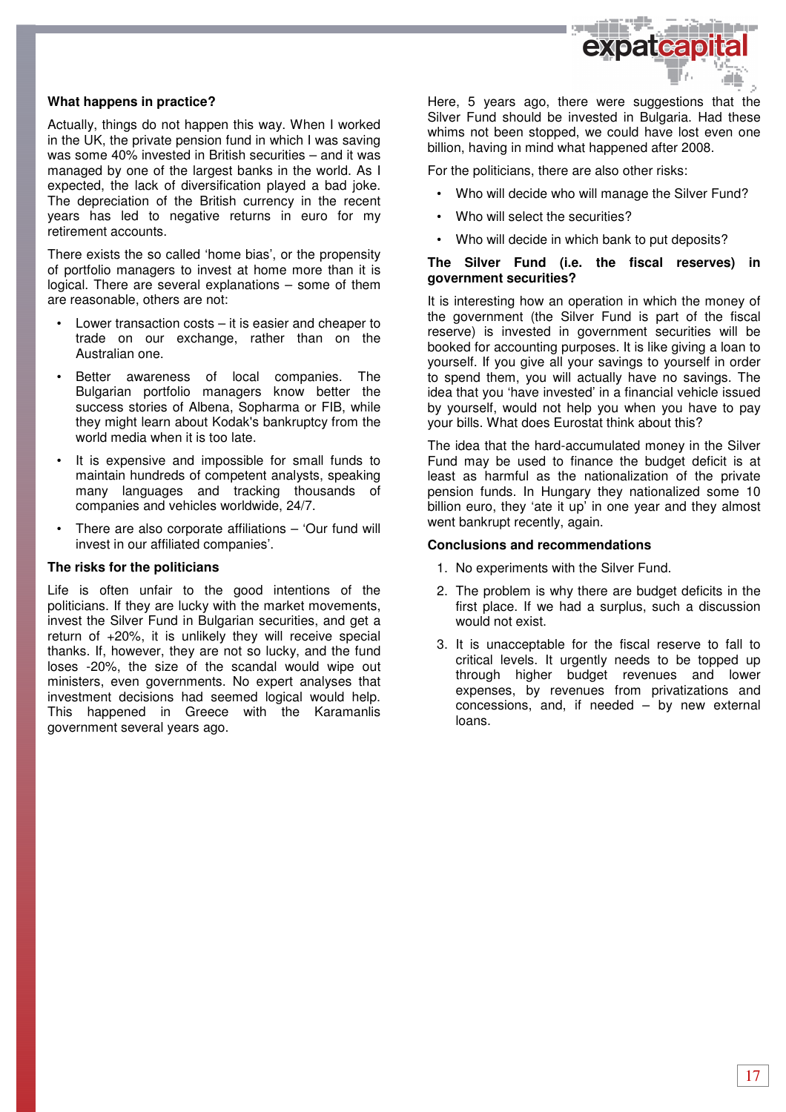

### **What happens in practice?**

Actually, things do not happen this way. When I worked in the UK, the private pension fund in which I was saving was some 40% invested in British securities – and it was managed by one of the largest banks in the world. As I expected, the lack of diversification played a bad joke. The depreciation of the British currency in the recent years has led to negative returns in euro for my retirement accounts.

There exists the so called 'home bias', or the propensity of portfolio managers to invest at home more than it is logical. There are several explanations – some of them are reasonable, others are not:

- Lower transaction costs  $-$  it is easier and cheaper to trade on our exchange, rather than on the Australian one.
- Better awareness of local companies. The Bulgarian portfolio managers know better the success stories of Albena, Sopharma or FIB, while they might learn about Kodak's bankruptcy from the world media when it is too late.
- It is expensive and impossible for small funds to maintain hundreds of competent analysts, speaking many languages and tracking thousands of companies and vehicles worldwide, 24/7.
- There are also corporate affiliations 'Our fund will invest in our affiliated companies'.

#### **The risks for the politicians**

Life is often unfair to the good intentions of the politicians. If they are lucky with the market movements, invest the Silver Fund in Bulgarian securities, and get a return of +20%, it is unlikely they will receive special thanks. If, however, they are not so lucky, and the fund loses -20%, the size of the scandal would wipe out ministers, even governments. No expert analyses that investment decisions had seemed logical would help. This happened in Greece with the Karamanlis government several years ago.

Here, 5 years ago, there were suggestions that the Silver Fund should be invested in Bulgaria. Had these whims not been stopped, we could have lost even one billion, having in mind what happened after 2008.

For the politicians, there are also other risks:

- Who will decide who will manage the Silver Fund?
- Who will select the securities?
- Who will decide in which bank to put deposits?

### **The Silver Fund (i.e. the fiscal reserves) in government securities?**

It is interesting how an operation in which the money of the government (the Silver Fund is part of the fiscal reserve) is invested in government securities will be booked for accounting purposes. It is like giving a loan to yourself. If you give all your savings to yourself in order to spend them, you will actually have no savings. The idea that you 'have invested' in a financial vehicle issued by yourself, would not help you when you have to pay your bills. What does Eurostat think about this?

The idea that the hard-accumulated money in the Silver Fund may be used to finance the budget deficit is at least as harmful as the nationalization of the private pension funds. In Hungary they nationalized some 10 billion euro, they 'ate it up' in one year and they almost went bankrupt recently, again.

#### **Conclusions and recommendations**

- 1. No experiments with the Silver Fund.
- 2. The problem is why there are budget deficits in the first place. If we had a surplus, such a discussion would not exist.
- 3. It is unacceptable for the fiscal reserve to fall to critical levels. It urgently needs to be topped up through higher budget revenues and lower expenses, by revenues from privatizations and concessions, and, if needed – by new external loans.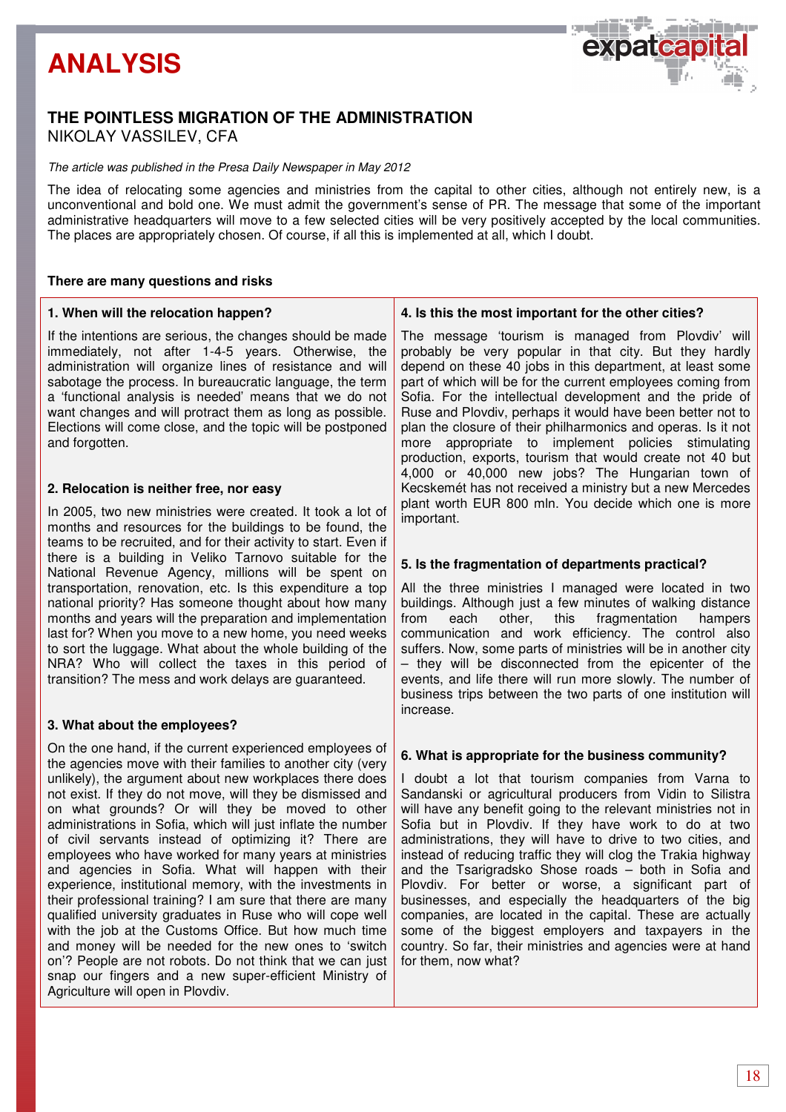# **ANALYSIS**



## **THE POINTLESS MIGRATION OF THE ADMINISTRATION**  NIKOLAY VASSILEV, CFA

### The article was published in the Presa Daily Newspaper in May 2012

The idea of relocating some agencies and ministries from the capital to other cities, although not entirely new, is a unconventional and bold one. We must admit the government's sense of PR. The message that some of the important administrative headquarters will move to a few selected cities will be very positively accepted by the local communities. The places are appropriately chosen. Of course, if all this is implemented at all, which I doubt.

## **There are many questions and risks**

## **1. When will the relocation happen?**

If the intentions are serious, the changes should be made immediately, not after 1-4-5 years. Otherwise, the administration will organize lines of resistance and will sabotage the process. In bureaucratic language, the term a 'functional analysis is needed' means that we do not want changes and will protract them as long as possible. Elections will come close, and the topic will be postponed and forgotten.

## **2. Relocation is neither free, nor easy**

In 2005, two new ministries were created. It took a lot of months and resources for the buildings to be found, the teams to be recruited, and for their activity to start. Even if there is a building in Veliko Tarnovo suitable for the National Revenue Agency, millions will be spent on transportation, renovation, etc. Is this expenditure a top national priority? Has someone thought about how many months and years will the preparation and implementation last for? When you move to a new home, you need weeks to sort the luggage. What about the whole building of the NRA? Who will collect the taxes in this period of transition? The mess and work delays are guaranteed.

## **3. What about the employees?**

On the one hand, if the current experienced employees of the agencies move with their families to another city (very unlikely), the argument about new workplaces there does not exist. If they do not move, will they be dismissed and on what grounds? Or will they be moved to other administrations in Sofia, which will just inflate the number of civil servants instead of optimizing it? There are employees who have worked for many years at ministries and agencies in Sofia. What will happen with their experience, institutional memory, with the investments in their professional training? I am sure that there are many qualified university graduates in Ruse who will cope well with the job at the Customs Office. But how much time and money will be needed for the new ones to 'switch on'? People are not robots. Do not think that we can just snap our fingers and a new super-efficient Ministry of Agriculture will open in Plovdiv.

### **4. Is this the most important for the other cities?**

The message 'tourism is managed from Plovdiv' will probably be very popular in that city. But they hardly depend on these 40 jobs in this department, at least some part of which will be for the current employees coming from Sofia. For the intellectual development and the pride of Ruse and Plovdiv, perhaps it would have been better not to plan the closure of their philharmonics and operas. Is it not more appropriate to implement policies stimulating production, exports, tourism that would create not 40 but 4,000 or 40,000 new jobs? The Hungarian town of Kecskemét has not received a ministry but a new Mercedes plant worth EUR 800 mln. You decide which one is more important.

## **5. Is the fragmentation of departments practical?**

All the three ministries I managed were located in two buildings. Although just a few minutes of walking distance from each other, this fragmentation hampers communication and work efficiency. The control also suffers. Now, some parts of ministries will be in another city – they will be disconnected from the epicenter of the events, and life there will run more slowly. The number of business trips between the two parts of one institution will increase.

#### **6. What is appropriate for the business community?**

I doubt a lot that tourism companies from Varna to Sandanski or agricultural producers from Vidin to Silistra will have any benefit going to the relevant ministries not in Sofia but in Plovdiv. If they have work to do at two administrations, they will have to drive to two cities, and instead of reducing traffic they will clog the Trakia highway and the Tsarigradsko Shose roads – both in Sofia and Plovdiv. For better or worse, a significant part of businesses, and especially the headquarters of the big companies, are located in the capital. These are actually some of the biggest employers and taxpayers in the country. So far, their ministries and agencies were at hand for them, now what?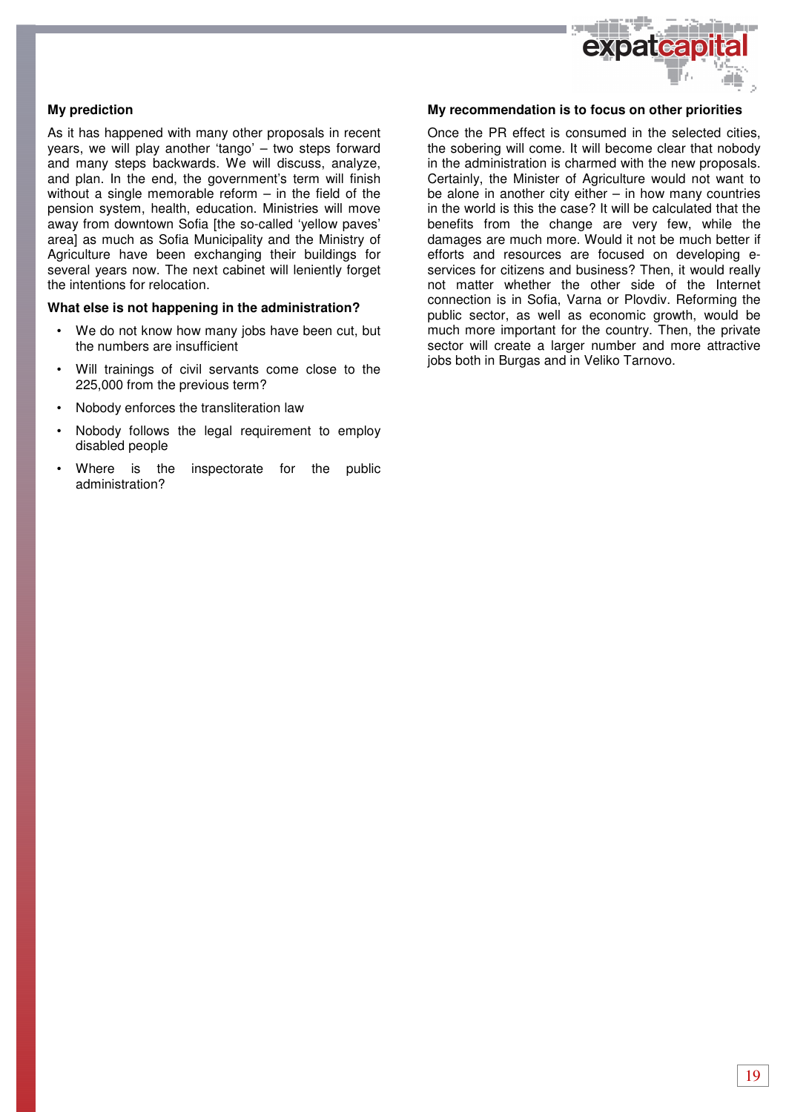

## **My prediction**

As it has happened with many other proposals in recent years, we will play another 'tango' – two steps forward and many steps backwards. We will discuss, analyze, and plan. In the end, the government's term will finish without a single memorable reform – in the field of the pension system, health, education. Ministries will move away from downtown Sofia [the so-called 'yellow paves' area] as much as Sofia Municipality and the Ministry of Agriculture have been exchanging their buildings for several years now. The next cabinet will leniently forget the intentions for relocation.

#### **What else is not happening in the administration?**

- We do not know how many jobs have been cut, but the numbers are insufficient
- Will trainings of civil servants come close to the 225,000 from the previous term?
- Nobody enforces the transliteration law
- Nobody follows the legal requirement to employ disabled people
- Where is the inspectorate for the public administration?

#### **My recommendation is to focus on other priorities**

Once the PR effect is consumed in the selected cities, the sobering will come. It will become clear that nobody in the administration is charmed with the new proposals. Certainly, the Minister of Agriculture would not want to be alone in another city either  $-$  in how many countries in the world is this the case? It will be calculated that the benefits from the change are very few, while the damages are much more. Would it not be much better if efforts and resources are focused on developing eservices for citizens and business? Then, it would really not matter whether the other side of the Internet connection is in Sofia, Varna or Plovdiv. Reforming the public sector, as well as economic growth, would be much more important for the country. Then, the private sector will create a larger number and more attractive jobs both in Burgas and in Veliko Tarnovo.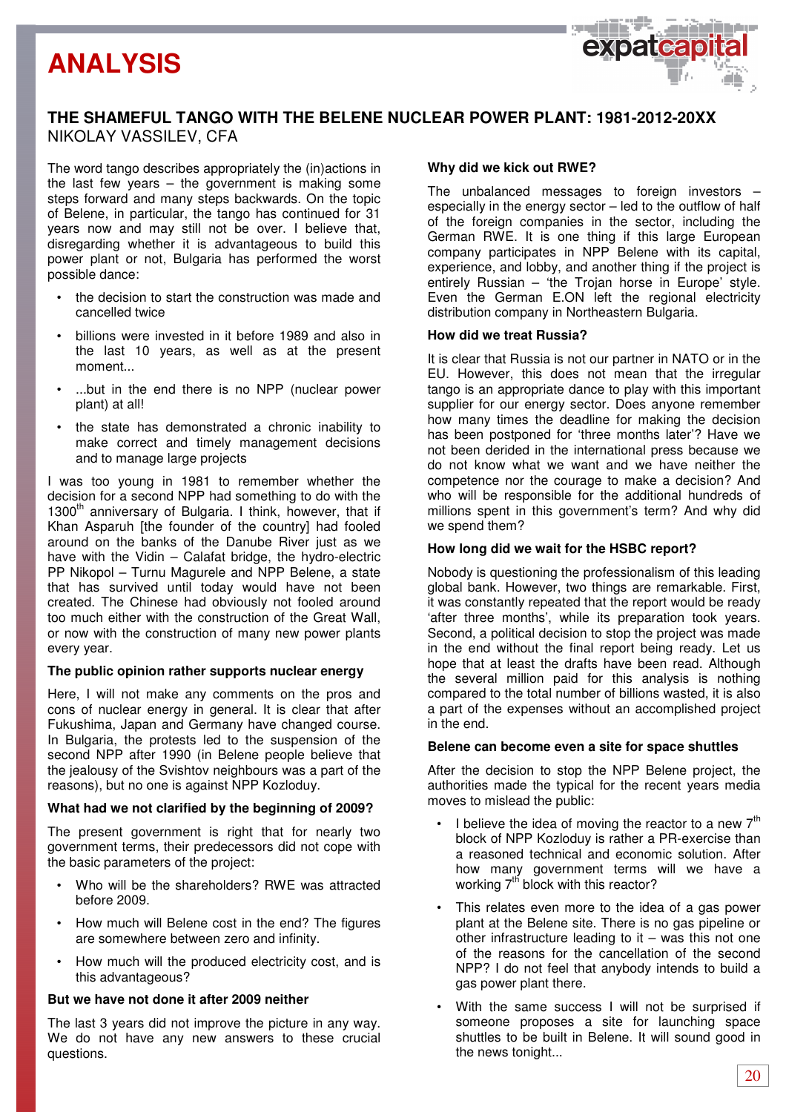## **ANALYSIS**



## **THE SHAMEFUL TANGO WITH THE BELENE NUCLEAR POWER PLANT: 1981-2012-20XX**  NIKOLAY VASSILEV, CFA

The word tango describes appropriately the (in)actions in the last few years – the government is making some steps forward and many steps backwards. On the topic of Belene, in particular, the tango has continued for 31 years now and may still not be over. I believe that, disregarding whether it is advantageous to build this power plant or not, Bulgaria has performed the worst possible dance:

- the decision to start the construction was made and cancelled twice
- billions were invested in it before 1989 and also in the last 10 years, as well as at the present moment...
- ...but in the end there is no NPP (nuclear power plant) at all!
- the state has demonstrated a chronic inability to make correct and timely management decisions and to manage large projects

I was too young in 1981 to remember whether the decision for a second NPP had something to do with the 1300<sup>th</sup> anniversary of Bulgaria. I think, however, that if Khan Asparuh [the founder of the country] had fooled around on the banks of the Danube River just as we have with the Vidin – Calafat bridge, the hydro-electric PP Nikopol – Turnu Magurele and NPP Belene, a state that has survived until today would have not been created. The Chinese had obviously not fooled around too much either with the construction of the Great Wall, or now with the construction of many new power plants every year.

## **The public opinion rather supports nuclear energy**

Here, I will not make any comments on the pros and cons of nuclear energy in general. It is clear that after Fukushima, Japan and Germany have changed course. In Bulgaria, the protests led to the suspension of the second NPP after 1990 (in Belene people believe that the jealousy of the Svishtov neighbours was a part of the reasons), but no one is against NPP Kozloduy.

## **What had we not clarified by the beginning of 2009?**

The present government is right that for nearly two government terms, their predecessors did not cope with the basic parameters of the project:

- Who will be the shareholders? RWE was attracted before 2009.
- How much will Belene cost in the end? The figures are somewhere between zero and infinity.
- How much will the produced electricity cost, and is this advantageous?

## **But we have not done it after 2009 neither**

The last 3 years did not improve the picture in any way. We do not have any new answers to these crucial questions.

## **Why did we kick out RWE?**

The unbalanced messages to foreign investors – especially in the energy sector – led to the outflow of half of the foreign companies in the sector, including the German RWE. It is one thing if this large European company participates in NPP Belene with its capital, experience, and lobby, and another thing if the project is entirely Russian – 'the Trojan horse in Europe' style. Even the German E.ON left the regional electricity distribution company in Northeastern Bulgaria.

## **How did we treat Russia?**

It is clear that Russia is not our partner in NATO or in the EU. However, this does not mean that the irregular tango is an appropriate dance to play with this important supplier for our energy sector. Does anyone remember how many times the deadline for making the decision has been postponed for 'three months later'? Have we not been derided in the international press because we do not know what we want and we have neither the competence nor the courage to make a decision? And who will be responsible for the additional hundreds of millions spent in this government's term? And why did we spend them?

## **How long did we wait for the HSBC report?**

Nobody is questioning the professionalism of this leading global bank. However, two things are remarkable. First, it was constantly repeated that the report would be ready 'after three months', while its preparation took years. Second, a political decision to stop the project was made in the end without the final report being ready. Let us hope that at least the drafts have been read. Although the several million paid for this analysis is nothing compared to the total number of billions wasted, it is also a part of the expenses without an accomplished project in the end.

## **Belene can become even a site for space shuttles**

After the decision to stop the NPP Belene project, the authorities made the typical for the recent years media moves to mislead the public:

- I believe the idea of moving the reactor to a new  $7<sup>th</sup>$ block of NPP Kozloduy is rather a PR-exercise than a reasoned technical and economic solution. After how many government terms will we have a working  $7<sup>th</sup>$  block with this reactor?
- This relates even more to the idea of a gas power plant at the Belene site. There is no gas pipeline or other infrastructure leading to  $it -$  was this not one of the reasons for the cancellation of the second NPP? I do not feel that anybody intends to build a gas power plant there.
- With the same success I will not be surprised if someone proposes a site for launching space shuttles to be built in Belene. It will sound good in the news tonight...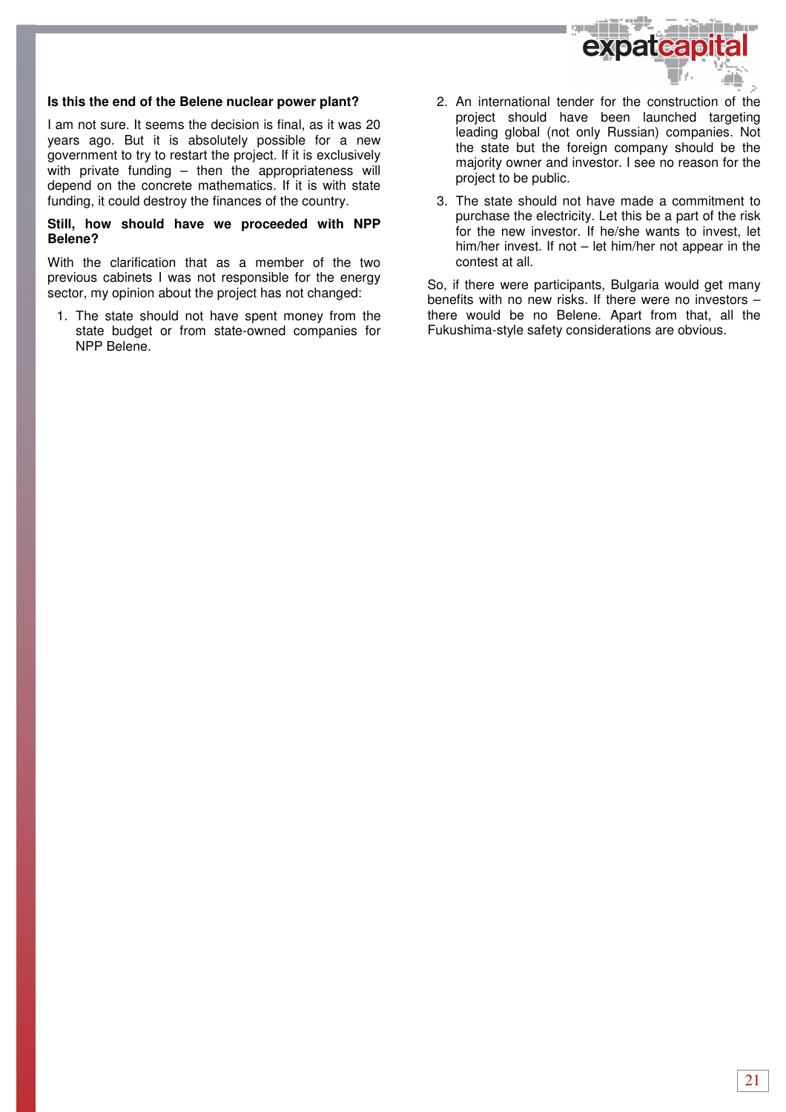

### **Is this the end of the Belene nuclear power plant?**

I am not sure. It seems the decision is final, as it was 20 years ago. But it is absolutely possible for a new government to try to restart the project. If it is exclusively with private funding – then the appropriateness will depend on the concrete mathematics. If it is with state funding, it could destroy the finances of the country.

#### **Still, how should have we proceeded with NPP Belene?**

With the clarification that as a member of the two previous cabinets I was not responsible for the energy sector, my opinion about the project has not changed:

1. The state should not have spent money from the state budget or from state-owned companies for NPP Belene.

- 2. An international tender for the construction of the project should have been launched targeting leading global (not only Russian) companies. Not the state but the foreign company should be the majority owner and investor. I see no reason for the project to be public.
- 3. The state should not have made a commitment to purchase the electricity. Let this be a part of the risk for the new investor. If he/she wants to invest, let him/her invest. If not – let him/her not appear in the contest at all.

So, if there were participants, Bulgaria would get many benefits with no new risks. If there were no investors – there would be no Belene. Apart from that, all the Fukushima-style safety considerations are obvious.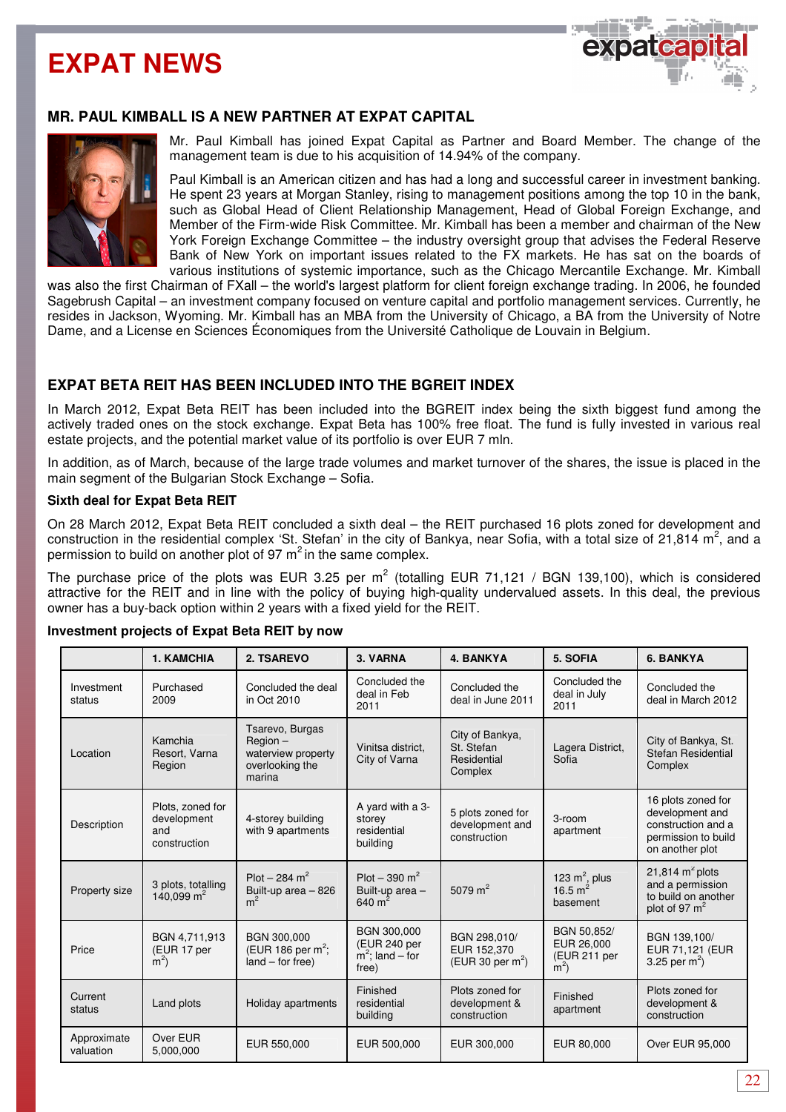## **EXPAT NEWS**



## **MR. PAUL KIMBALL IS A NEW PARTNER AT EXPAT CAPITAL**



Mr. Paul Kimball has joined Expat Capital as Partner and Board Member. The change of the management team is due to his acquisition of 14.94% of the company.

Paul Kimball is an American citizen and has had a long and successful career in investment banking. He spent 23 years at Morgan Stanley, rising to management positions among the top 10 in the bank, such as Global Head of Client Relationship Management, Head of Global Foreign Exchange, and Member of the Firm-wide Risk Committee. Mr. Kimball has been a member and chairman of the New York Foreign Exchange Committee – the industry oversight group that advises the Federal Reserve Bank of New York on important issues related to the FX markets. He has sat on the boards of various institutions of systemic importance, such as the Chicago Mercantile Exchange. Mr. Kimball

was also the first Chairman of FXall – the world's largest platform for client foreign exchange trading. In 2006, he founded Sagebrush Capital – an investment company focused on venture capital and portfolio management services. Currently, he resides in Jackson, Wyoming. Mr. Kimball has an MBA from the University of Chicago, a BA from the University of Notre Dame, and a License en Sciences Économiques from the Université Catholique de Louvain in Belgium.

## **EXPAT BETA REIT HAS BEEN INCLUDED INTO THE BGREIT INDEX**

In March 2012, Expat Beta REIT has been included into the BGREIT index being the sixth biggest fund among the actively traded ones on the stock exchange. Expat Beta has 100% free float. The fund is fully invested in various real estate projects, and the potential market value of its portfolio is over EUR 7 mln.

In addition, as of March, because of the large trade volumes and market turnover of the shares, the issue is placed in the main segment of the Bulgarian Stock Exchange – Sofia.

### **Sixth deal for Expat Beta REIT**

On 28 March 2012, Expat Beta REIT concluded a sixth deal – the REIT purchased 16 plots zoned for development and construction in the residential complex 'St. Stefan' in the city of Bankya, near Sofia, with a total size of 21,814 m<sup>2</sup>, and a permission to build on another plot of 97  $m^2$  in the same complex.

The purchase price of the plots was EUR 3.25 per m<sup>2</sup> (totalling EUR 71,121 / BGN 139,100), which is considered attractive for the REIT and in line with the policy of buying high-quality undervalued assets. In this deal, the previous owner has a buy-back option within 2 years with a fixed yield for the REIT.

|                          | <b>1. KAMCHIA</b>                                      | 2. TSAREVO                                                                    | 3. VARNA                                                                   | 4. BANKYA                                               | 5. SOFIA                                           | <b>6. BANKYA</b>                                                                                      |
|--------------------------|--------------------------------------------------------|-------------------------------------------------------------------------------|----------------------------------------------------------------------------|---------------------------------------------------------|----------------------------------------------------|-------------------------------------------------------------------------------------------------------|
| Investment<br>status     | Purchased<br>2009                                      | Concluded the deal<br>in Oct 2010                                             | Concluded the<br>Concluded the<br>deal in Feb<br>deal in June 2011<br>2011 |                                                         | Concluded the<br>deal in July<br>2011              | Concluded the<br>deal in March 2012                                                                   |
| Location                 | Kamchia<br>Resort, Varna<br>Region                     | Tsarevo, Burgas<br>Region-<br>waterview property<br>overlooking the<br>marina | Vinitsa district.<br>City of Varna                                         | City of Bankya,<br>St. Stefan<br>Residential<br>Complex | Lagera District,<br>Sofia                          | City of Bankya, St.<br><b>Stefan Residential</b><br>Complex                                           |
| Description              | Plots, zoned for<br>development<br>and<br>construction | 4-storey building<br>with 9 apartments                                        | A yard with a 3-<br>storey<br>residential<br>building                      | 5 plots zoned for<br>development and<br>construction    | 3-room<br>apartment                                | 16 plots zoned for<br>development and<br>construction and a<br>permission to build<br>on another plot |
| Property size            | 3 plots, totalling<br>140,099 $m2$                     | Plot – 284 m <sup>2</sup><br>Built-up area - 826<br>m <sup>2</sup>            | Plot – 390 m <sup>2</sup><br>Built-up area -<br>$640 \text{ m}^2$          | 5079 $m2$                                               | 123 $m^2$ , plus<br>16.5 $m^2$<br>basement         | 21,814 $m2$ plots<br>and a permission<br>to build on another<br>plot of 97 $m2$                       |
| Price                    | BGN 4,711,913<br>(EUR 17 per<br>$m^2$                  | BGN 300,000<br>(EUR 186 per $m^2$ ;<br>$land - for free)$                     | <b>BGN 300,000</b><br>(EUR 240 per<br>$m^2$ ; land – for<br>free)          | BGN 298,010/<br>EUR 152,370<br>(EUR 30 per $m^2$ )      | BGN 50,852/<br>EUR 26,000<br>(EUR 211 per<br>$m^2$ | BGN 139,100/<br>EUR 71,121 (EUR<br>3.25 per $m^2$ )                                                   |
| Current<br>status        | Land plots                                             | Holiday apartments                                                            | Finished<br>residential<br>building                                        | Plots zoned for<br>development &<br>construction        | Finished<br>apartment                              | Plots zoned for<br>development &<br>construction                                                      |
| Approximate<br>valuation | Over EUR<br>5,000,000                                  | EUR 550,000                                                                   | EUR 500,000                                                                | EUR 300,000                                             | EUR 80,000                                         | Over EUR 95,000                                                                                       |

#### **Investment projects of Expat Beta REIT by now**